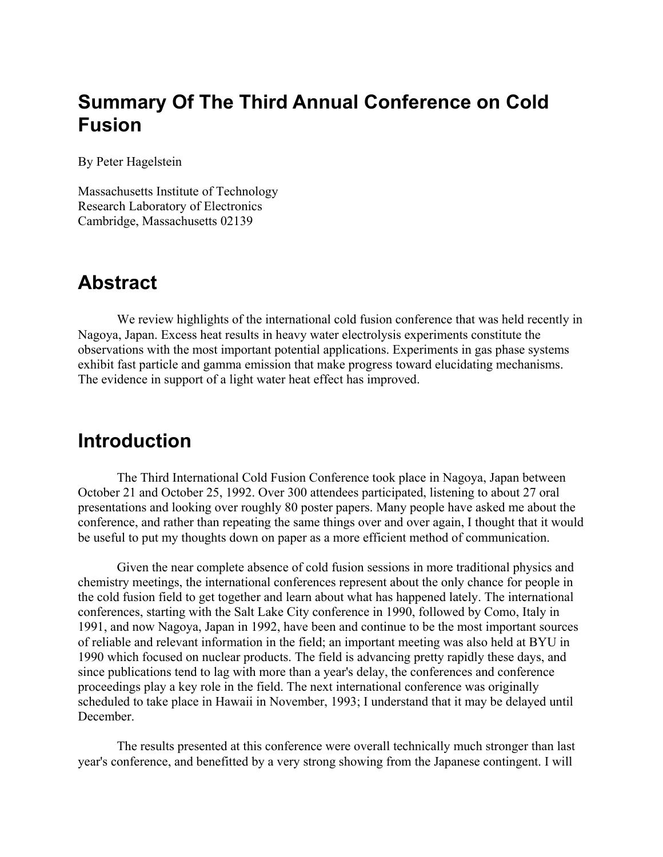# **Summary Of The Third Annual Conference on Cold Fusion**

By Peter Hagelstein

Massachusetts Institute of Technology Research Laboratory of Electronics Cambridge, Massachusetts 02139

#### **Abstract**

 We review highlights of the international cold fusion conference that was held recently in Nagoya, Japan. Excess heat results in heavy water electrolysis experiments constitute the observations with the most important potential applications. Experiments in gas phase systems exhibit fast particle and gamma emission that make progress toward elucidating mechanisms. The evidence in support of a light water heat effect has improved.

## **Introduction**

The Third International Cold Fusion Conference took place in Nagoya, Japan between October 21 and October 25, 1992. Over 300 attendees participated, listening to about 27 oral presentations and looking over roughly 80 poster papers. Many people have asked me about the conference, and rather than repeating the same things over and over again, I thought that it would be useful to put my thoughts down on paper as a more efficient method of communication.

Given the near complete absence of cold fusion sessions in more traditional physics and chemistry meetings, the international conferences represent about the only chance for people in the cold fusion field to get together and learn about what has happened lately. The international conferences, starting with the Salt Lake City conference in 1990, followed by Como, Italy in 1991, and now Nagoya, Japan in 1992, have been and continue to be the most important sources of reliable and relevant information in the field; an important meeting was also held at BYU in 1990 which focused on nuclear products. The field is advancing pretty rapidly these days, and since publications tend to lag with more than a year's delay, the conferences and conference proceedings play a key role in the field. The next international conference was originally scheduled to take place in Hawaii in November, 1993; I understand that it may be delayed until **December** 

The results presented at this conference were overall technically much stronger than last year's conference, and benefitted by a very strong showing from the Japanese contingent. I will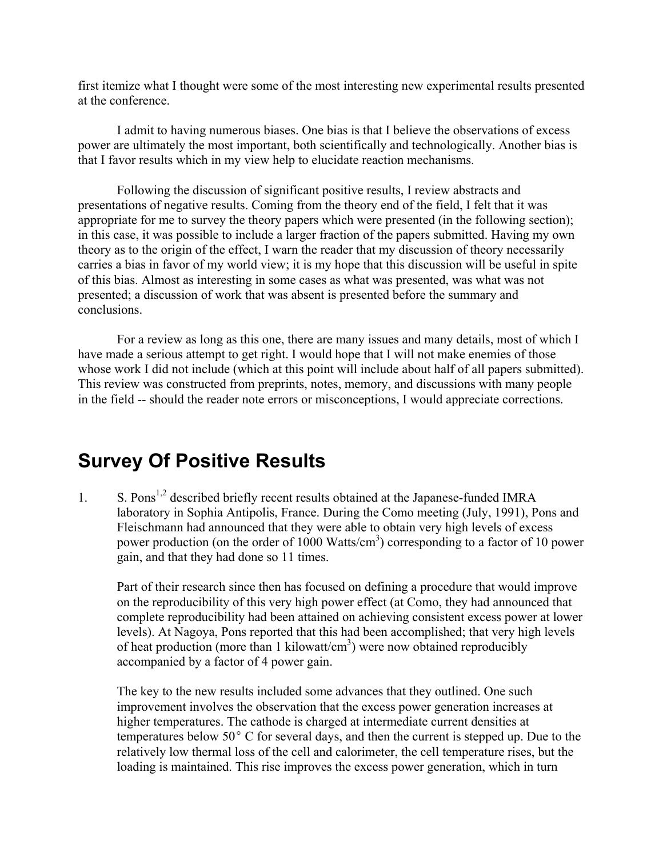first itemize what I thought were some of the most interesting new experimental results presented at the conference.

 I admit to having numerous biases. One bias is that I believe the observations of excess power are ultimately the most important, both scientifically and technologically. Another bias is that I favor results which in my view help to elucidate reaction mechanisms.

 Following the discussion of significant positive results, I review abstracts and presentations of negative results. Coming from the theory end of the field, I felt that it was appropriate for me to survey the theory papers which were presented (in the following section); in this case, it was possible to include a larger fraction of the papers submitted. Having my own theory as to the origin of the effect, I warn the reader that my discussion of theory necessarily carries a bias in favor of my world view; it is my hope that this discussion will be useful in spite of this bias. Almost as interesting in some cases as what was presented, was what was not presented; a discussion of work that was absent is presented before the summary and conclusions.

For a review as long as this one, there are many issues and many details, most of which I have made a serious attempt to get right. I would hope that I will not make enemies of those whose work I did not include (which at this point will include about half of all papers submitted). This review was constructed from preprints, notes, memory, and discussions with many people in the field -- should the reader note errors or misconceptions, I would appreciate corrections.

## **Survey Of Positive Results**

1. S. Pons<sup>1,2</sup> described briefly recent results obtained at the Japanese-funded IMRA laboratory in Sophia Antipolis, France. During the Como meeting (July, 1991), Pons and Fleischmann had announced that they were able to obtain very high levels of excess power production (on the order of 1000 Watts/cm<sup>3</sup>) corresponding to a factor of 10 power gain, and that they had done so 11 times.

Part of their research since then has focused on defining a procedure that would improve on the reproducibility of this very high power effect (at Como, they had announced that complete reproducibility had been attained on achieving consistent excess power at lower levels). At Nagoya, Pons reported that this had been accomplished; that very high levels of heat production (more than 1 kilowatt/cm<sup>3</sup>) were now obtained reproducibly accompanied by a factor of 4 power gain.

The key to the new results included some advances that they outlined. One such improvement involves the observation that the excess power generation increases at higher temperatures. The cathode is charged at intermediate current densities at temperatures below  $50^{\circ}$  C for several days, and then the current is stepped up. Due to the relatively low thermal loss of the cell and calorimeter, the cell temperature rises, but the loading is maintained. This rise improves the excess power generation, which in turn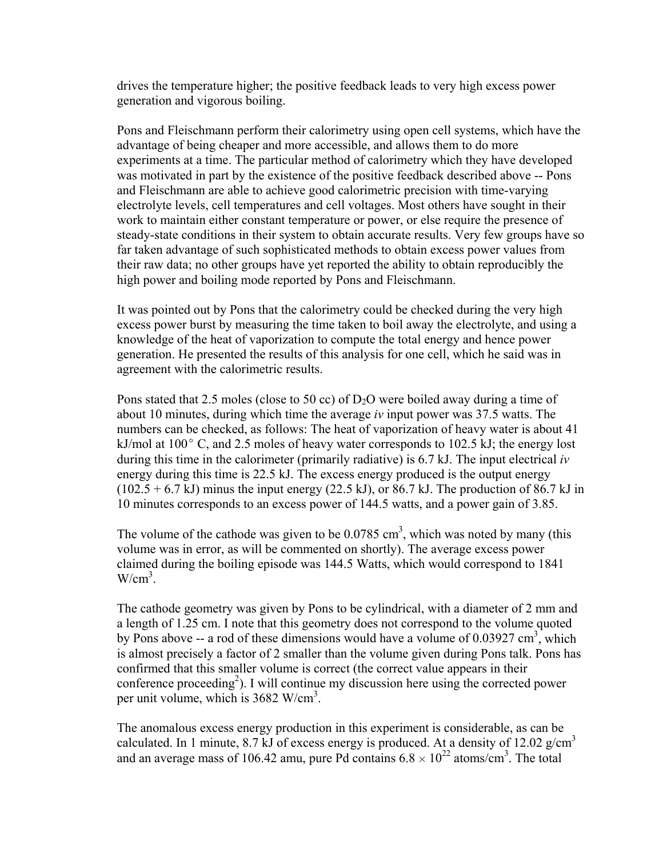drives the temperature higher; the positive feedback leads to very high excess power generation and vigorous boiling.

Pons and Fleischmann perform their calorimetry using open cell systems, which have the advantage of being cheaper and more accessible, and allows them to do more experiments at a time. The particular method of calorimetry which they have developed was motivated in part by the existence of the positive feedback described above -- Pons and Fleischmann are able to achieve good calorimetric precision with time-varying electrolyte levels, cell temperatures and cell voltages. Most others have sought in their work to maintain either constant temperature or power, or else require the presence of steady-state conditions in their system to obtain accurate results. Very few groups have so far taken advantage of such sophisticated methods to obtain excess power values from their raw data; no other groups have yet reported the ability to obtain reproducibly the high power and boiling mode reported by Pons and Fleischmann.

It was pointed out by Pons that the calorimetry could be checked during the very high excess power burst by measuring the time taken to boil away the electrolyte, and using a knowledge of the heat of vaporization to compute the total energy and hence power generation. He presented the results of this analysis for one cell, which he said was in agreement with the calorimetric results.

Pons stated that 2.5 moles (close to 50 cc) of  $D_2O$  were boiled away during a time of about 10 minutes, during which time the average *iv* input power was 37.5 watts. The numbers can be checked, as follows: The heat of vaporization of heavy water is about 41 kJ/mol at  $100^{\circ}$  C, and 2.5 moles of heavy water corresponds to 102.5 kJ; the energy lost during this time in the calorimeter (primarily radiative) is 6.7 kJ. The input electrical *iv* energy during this time is 22.5 kJ. The excess energy produced is the output energy  $(102.5 + 6.7 \text{ kJ})$  minus the input energy  $(22.5 \text{ kJ})$ , or 86.7 kJ. The production of 86.7 kJ in 10 minutes corresponds to an excess power of 144.5 watts, and a power gain of 3.85.

The volume of the cathode was given to be  $0.0785 \text{ cm}^3$ , which was noted by many (this volume was in error, as will be commented on shortly). The average excess power claimed during the boiling episode was 144.5 Watts, which would correspond to 1841  $W/cm<sup>3</sup>$ .

The cathode geometry was given by Pons to be cylindrical, with a diameter of 2 mm and a length of 1.25 cm. I note that this geometry does not correspond to the volume quoted by Pons above -- a rod of these dimensions would have a volume of  $0.03927 \text{ cm}^3$ , which is almost precisely a factor of 2 smaller than the volume given during Pons talk. Pons has confirmed that this smaller volume is correct (the correct value appears in their conference proceeding<sup>2</sup>). I will continue my discussion here using the corrected power per unit volume, which is 3682 W/cm<sup>3</sup>.

The anomalous excess energy production in this experiment is considerable, as can be calculated. In 1 minute, 8.7 kJ of excess energy is produced. At a density of 12.02 g/cm<sup>3</sup> and an average mass of 106.42 amu, pure Pd contains  $6.8 \times 10^{22}$  atoms/cm<sup>3</sup>. The total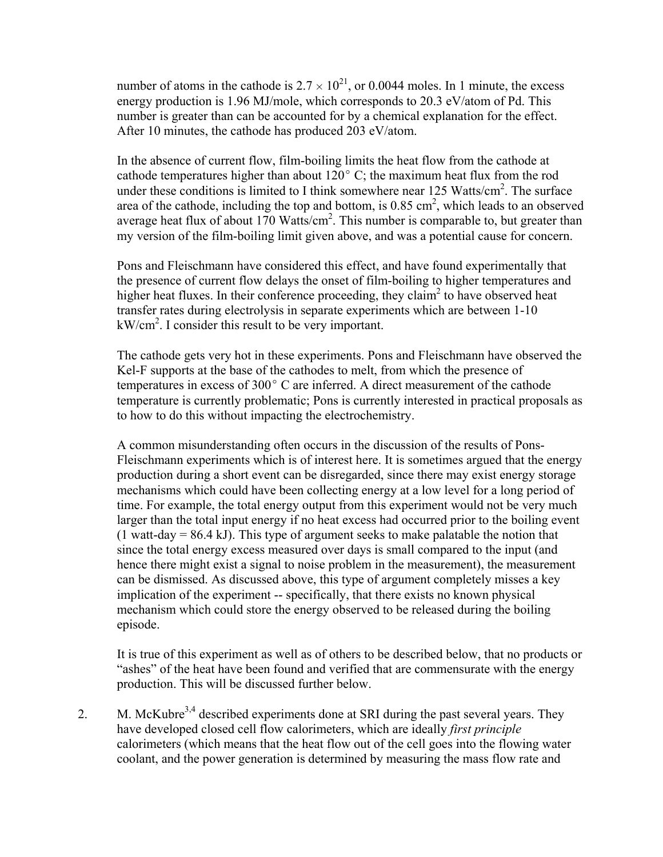number of atoms in the cathode is  $2.7 \times 10^{21}$ , or 0.0044 moles. In 1 minute, the excess energy production is 1.96 MJ/mole, which corresponds to 20.3 eV/atom of Pd. This number is greater than can be accounted for by a chemical explanation for the effect. After 10 minutes, the cathode has produced 203 eV/atom.

In the absence of current flow, film-boiling limits the heat flow from the cathode at cathode temperatures higher than about  $120^{\circ}$  C; the maximum heat flux from the rod under these conditions is limited to I think somewhere near 125 Watts/ $\text{cm}^2$ . The surface area of the cathode, including the top and bottom, is  $0.85 \text{ cm}^2$ , which leads to an observed average heat flux of about 170 Watts/cm<sup>2</sup>. This number is comparable to, but greater than my version of the film-boiling limit given above, and was a potential cause for concern.

Pons and Fleischmann have considered this effect, and have found experimentally that the presence of current flow delays the onset of film-boiling to higher temperatures and higher heat fluxes. In their conference proceeding, they claim<sup>2</sup> to have observed heat transfer rates during electrolysis in separate experiments which are between 1-10 kW/cm2 . I consider this result to be very important.

The cathode gets very hot in these experiments. Pons and Fleischmann have observed the Kel-F supports at the base of the cathodes to melt, from which the presence of temperatures in excess of  $300^{\circ}$  C are inferred. A direct measurement of the cathode temperature is currently problematic; Pons is currently interested in practical proposals as to how to do this without impacting the electrochemistry.

A common misunderstanding often occurs in the discussion of the results of Pons-Fleischmann experiments which is of interest here. It is sometimes argued that the energy production during a short event can be disregarded, since there may exist energy storage mechanisms which could have been collecting energy at a low level for a long period of time. For example, the total energy output from this experiment would not be very much larger than the total input energy if no heat excess had occurred prior to the boiling event  $(1$  watt-day = 86.4 kJ). This type of argument seeks to make palatable the notion that since the total energy excess measured over days is small compared to the input (and hence there might exist a signal to noise problem in the measurement), the measurement can be dismissed. As discussed above, this type of argument completely misses a key implication of the experiment -- specifically, that there exists no known physical mechanism which could store the energy observed to be released during the boiling episode.

It is true of this experiment as well as of others to be described below, that no products or "ashes" of the heat have been found and verified that are commensurate with the energy production. This will be discussed further below.

2. M. McKubre<sup>3,4</sup> described experiments done at SRI during the past several years. They have developed closed cell flow calorimeters, which are ideally *first principle* calorimeters (which means that the heat flow out of the cell goes into the flowing water coolant, and the power generation is determined by measuring the mass flow rate and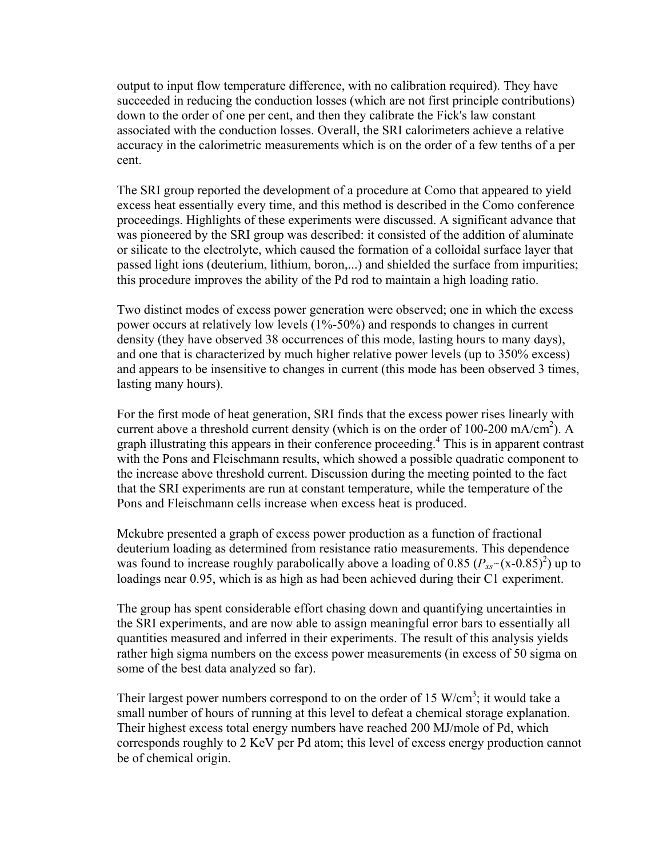output to input flow temperature difference, with no calibration required). They have succeeded in reducing the conduction losses (which are not first principle contributions) down to the order of one per cent, and then they calibrate the Fick's law constant associated with the conduction losses. Overall, the SRI calorimeters achieve a relative accuracy in the calorimetric measurements which is on the order of a few tenths of a per cent.

The SRI group reported the development of a procedure at Como that appeared to yield excess heat essentially every time, and this method is described in the Como conference proceedings. Highlights of these experiments were discussed. A significant advance that was pioneered by the SRI group was described: it consisted of the addition of aluminate or silicate to the electrolyte, which caused the formation of a colloidal surface layer that passed light ions (deuterium, lithium, boron,...) and shielded the surface from impurities; this procedure improves the ability of the Pd rod to maintain a high loading ratio.

Two distinct modes of excess power generation were observed; one in which the excess power occurs at relatively low levels (1%-50%) and responds to changes in current density (they have observed 38 occurrences of this mode, lasting hours to many days), and one that is characterized by much higher relative power levels (up to 350% excess) and appears to be insensitive to changes in current (this mode has been observed 3 times, lasting many hours).

For the first mode of heat generation, SRI finds that the excess power rises linearly with current above a threshold current density (which is on the order of 100-200 mA/cm<sup>2</sup>). A graph illustrating this appears in their conference proceeding.<sup>4</sup> This is in apparent contrast with the Pons and Fleischmann results, which showed a possible quadratic component to the increase above threshold current. Discussion during the meeting pointed to the fact that the SRI experiments are run at constant temperature, while the temperature of the Pons and Fleischmann cells increase when excess heat is produced.

Mckubre presented a graph of excess power production as a function of fractional deuterium loading as determined from resistance ratio measurements. This dependence was found to increase roughly parabolically above a loading of 0.85  $(P_{xx} \sim (x - 0.85)^2)$  up to loadings near 0.95, which is as high as had been achieved during their C1 experiment.

The group has spent considerable effort chasing down and quantifying uncertainties in the SRI experiments, and are now able to assign meaningful error bars to essentially all quantities measured and inferred in their experiments. The result of this analysis yields rather high sigma numbers on the excess power measurements (in excess of 50 sigma on some of the best data analyzed so far).

Their largest power numbers correspond to on the order of 15 W/cm<sup>3</sup>; it would take a small number of hours of running at this level to defeat a chemical storage explanation. Their highest excess total energy numbers have reached 200 MJ/mole of Pd, which corresponds roughly to 2 KeV per Pd atom; this level of excess energy production cannot be of chemical origin.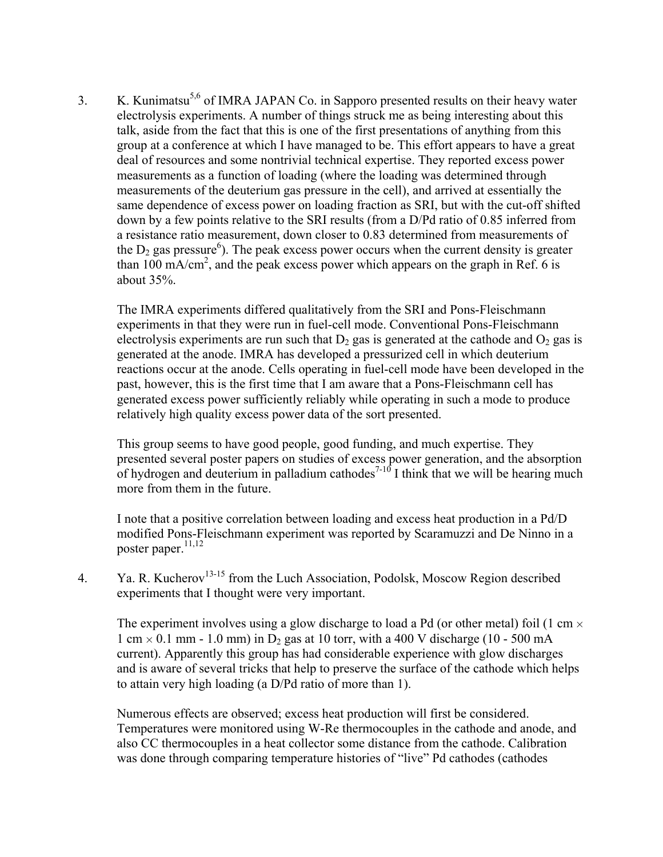3. K. Kunimatsu<sup>5,6</sup> of IMRA JAPAN Co. in Sapporo presented results on their heavy water electrolysis experiments. A number of things struck me as being interesting about this talk, aside from the fact that this is one of the first presentations of anything from this group at a conference at which I have managed to be. This effort appears to have a great deal of resources and some nontrivial technical expertise. They reported excess power measurements as a function of loading (where the loading was determined through measurements of the deuterium gas pressure in the cell), and arrived at essentially the same dependence of excess power on loading fraction as SRI, but with the cut-off shifted down by a few points relative to the SRI results (from a D/Pd ratio of 0.85 inferred from a resistance ratio measurement, down closer to 0.83 determined from measurements of the  $D_2$  gas pressure<sup>6</sup>). The peak excess power occurs when the current density is greater than 100 mA/cm<sup>2</sup>, and the peak excess power which appears on the graph in Ref. 6 is about 35%.

The IMRA experiments differed qualitatively from the SRI and Pons-Fleischmann experiments in that they were run in fuel-cell mode. Conventional Pons-Fleischmann electrolysis experiments are run such that  $D_2$  gas is generated at the cathode and  $O_2$  gas is generated at the anode. IMRA has developed a pressurized cell in which deuterium reactions occur at the anode. Cells operating in fuel-cell mode have been developed in the past, however, this is the first time that I am aware that a Pons-Fleischmann cell has generated excess power sufficiently reliably while operating in such a mode to produce relatively high quality excess power data of the sort presented.

This group seems to have good people, good funding, and much expertise. They presented several poster papers on studies of excess power generation, and the absorption of hydrogen and deuterium in palladium cathodes<sup>7-10</sup> I think that we will be hearing much more from them in the future.

I note that a positive correlation between loading and excess heat production in a Pd/D modified Pons-Fleischmann experiment was reported by Scaramuzzi and De Ninno in a poster paper. $11,12$ 

4. Ya. R. Kucherov<sup>13-15</sup> from the Luch Association, Podolsk, Moscow Region described experiments that I thought were very important.

The experiment involves using a glow discharge to load a Pd (or other metal) foil (1 cm  $\times$ 1 cm  $\times$  0.1 mm - 1.0 mm) in D<sub>2</sub> gas at 10 torr, with a 400 V discharge (10 - 500 mA) current). Apparently this group has had considerable experience with glow discharges and is aware of several tricks that help to preserve the surface of the cathode which helps to attain very high loading (a D/Pd ratio of more than 1).

Numerous effects are observed; excess heat production will first be considered. Temperatures were monitored using W-Re thermocouples in the cathode and anode, and also CC thermocouples in a heat collector some distance from the cathode. Calibration was done through comparing temperature histories of "live" Pd cathodes (cathodes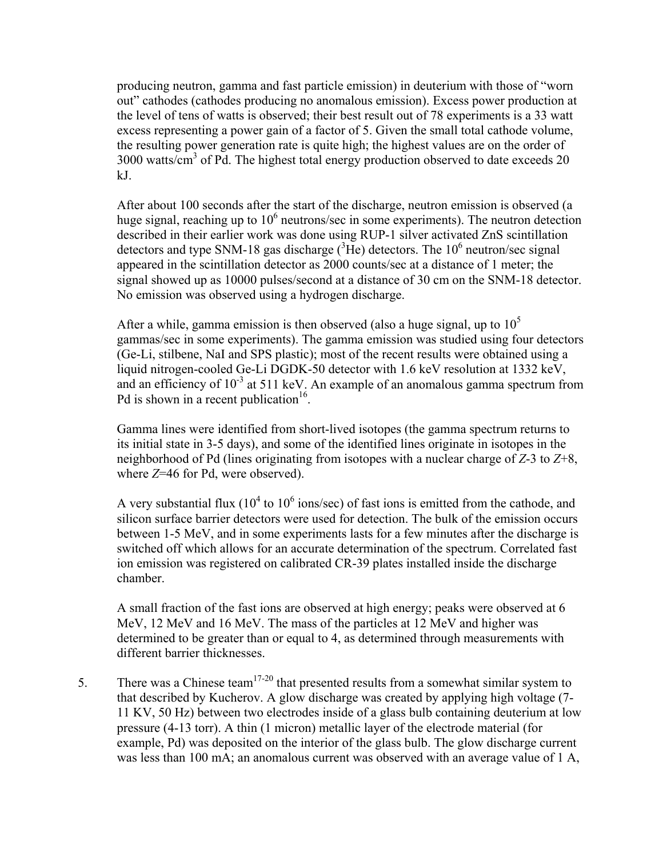producing neutron, gamma and fast particle emission) in deuterium with those of "worn out" cathodes (cathodes producing no anomalous emission). Excess power production at the level of tens of watts is observed; their best result out of 78 experiments is a 33 watt excess representing a power gain of a factor of 5. Given the small total cathode volume, the resulting power generation rate is quite high; the highest values are on the order of  $3000$  watts/ $\text{cm}^3$  of Pd. The highest total energy production observed to date exceeds 20 kJ.

After about 100 seconds after the start of the discharge, neutron emission is observed (a huge signal, reaching up to  $10<sup>6</sup>$  neutrons/sec in some experiments). The neutron detection described in their earlier work was done using RUP-1 silver activated ZnS scintillation detectors and type SNM-18 gas discharge  $(^{3}$ He) detectors. The 10<sup>6</sup> neutron/sec signal appeared in the scintillation detector as 2000 counts/sec at a distance of 1 meter; the signal showed up as 10000 pulses/second at a distance of 30 cm on the SNM-18 detector. No emission was observed using a hydrogen discharge.

After a while, gamma emission is then observed (also a huge signal, up to  $10<sup>5</sup>$ gammas/sec in some experiments). The gamma emission was studied using four detectors (Ge-Li, stilbene, NaI and SPS plastic); most of the recent results were obtained using a liquid nitrogen-cooled Ge-Li DGDK-50 detector with 1.6 keV resolution at 1332 keV, and an efficiency of  $10^{-3}$  at 511 keV. An example of an anomalous gamma spectrum from Pd is shown in a recent publication<sup>16</sup>.

Gamma lines were identified from short-lived isotopes (the gamma spectrum returns to its initial state in 3-5 days), and some of the identified lines originate in isotopes in the neighborhood of Pd (lines originating from isotopes with a nuclear charge of *Z*-3 to *Z*+8, where *Z*=46 for Pd, were observed).

A very substantial flux ( $10^4$  to  $10^6$  ions/sec) of fast ions is emitted from the cathode, and silicon surface barrier detectors were used for detection. The bulk of the emission occurs between 1-5 MeV, and in some experiments lasts for a few minutes after the discharge is switched off which allows for an accurate determination of the spectrum. Correlated fast ion emission was registered on calibrated CR-39 plates installed inside the discharge chamber.

A small fraction of the fast ions are observed at high energy; peaks were observed at 6 MeV, 12 MeV and 16 MeV. The mass of the particles at 12 MeV and higher was determined to be greater than or equal to 4, as determined through measurements with different barrier thicknesses.

5. There was a Chinese team<sup>17-20</sup> that presented results from a somewhat similar system to that described by Kucherov. A glow discharge was created by applying high voltage (7- 11 KV, 50 Hz) between two electrodes inside of a glass bulb containing deuterium at low pressure (4-13 torr). A thin (1 micron) metallic layer of the electrode material (for example, Pd) was deposited on the interior of the glass bulb. The glow discharge current was less than 100 mA; an anomalous current was observed with an average value of 1 A,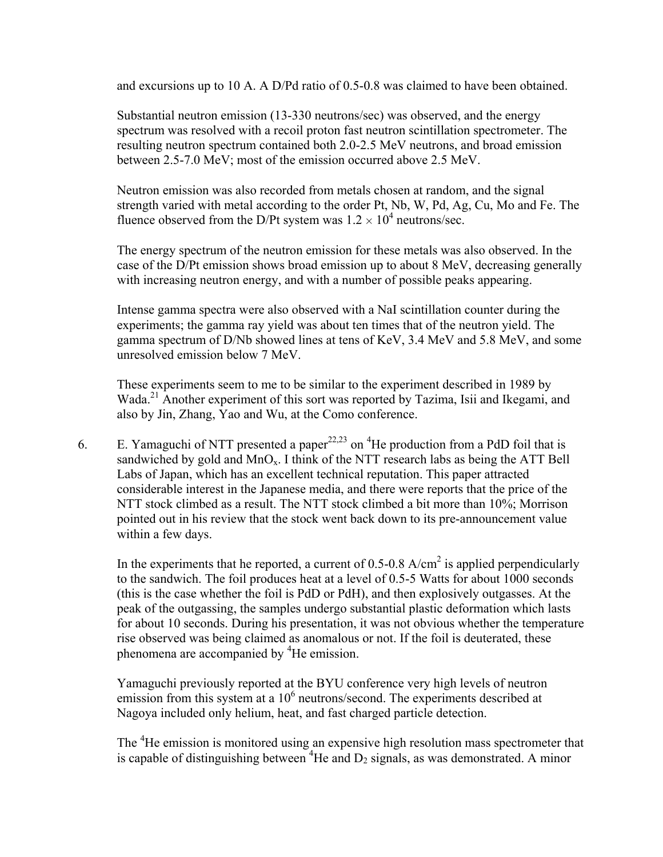and excursions up to 10 A. A D/Pd ratio of 0.5-0.8 was claimed to have been obtained.

Substantial neutron emission (13-330 neutrons/sec) was observed, and the energy spectrum was resolved with a recoil proton fast neutron scintillation spectrometer. The resulting neutron spectrum contained both 2.0-2.5 MeV neutrons, and broad emission between 2.5-7.0 MeV; most of the emission occurred above 2.5 MeV.

Neutron emission was also recorded from metals chosen at random, and the signal strength varied with metal according to the order Pt, Nb, W, Pd, Ag, Cu, Mo and Fe. The fluence observed from the D/Pt system was  $1.2 \times 10^4$  neutrons/sec.

The energy spectrum of the neutron emission for these metals was also observed. In the case of the D/Pt emission shows broad emission up to about 8 MeV, decreasing generally with increasing neutron energy, and with a number of possible peaks appearing.

Intense gamma spectra were also observed with a NaI scintillation counter during the experiments; the gamma ray yield was about ten times that of the neutron yield. The gamma spectrum of D/Nb showed lines at tens of KeV, 3.4 MeV and 5.8 MeV, and some unresolved emission below 7 MeV.

These experiments seem to me to be similar to the experiment described in 1989 by Wada.<sup>21</sup> Another experiment of this sort was reported by Tazima, Isii and Ikegami, and also by Jin, Zhang, Yao and Wu, at the Como conference.

6. E. Yamaguchi of NTT presented a paper<sup>22,23</sup> on <sup>4</sup>He production from a PdD foil that is sandwiched by gold and  $MnO<sub>x</sub>$ . I think of the NTT research labs as being the ATT Bell Labs of Japan, which has an excellent technical reputation. This paper attracted considerable interest in the Japanese media, and there were reports that the price of the NTT stock climbed as a result. The NTT stock climbed a bit more than 10%; Morrison pointed out in his review that the stock went back down to its pre-announcement value within a few days.

In the experiments that he reported, a current of 0.5-0.8  $A/cm<sup>2</sup>$  is applied perpendicularly to the sandwich. The foil produces heat at a level of 0.5-5 Watts for about 1000 seconds (this is the case whether the foil is PdD or PdH), and then explosively outgasses. At the peak of the outgassing, the samples undergo substantial plastic deformation which lasts for about 10 seconds. During his presentation, it was not obvious whether the temperature rise observed was being claimed as anomalous or not. If the foil is deuterated, these phenomena are accompanied by <sup>4</sup>He emission.

Yamaguchi previously reported at the BYU conference very high levels of neutron emission from this system at a  $10^6$  neutrons/second. The experiments described at Nagoya included only helium, heat, and fast charged particle detection.

The <sup>4</sup>He emission is monitored using an expensive high resolution mass spectrometer that is capable of distinguishing between  $4$ He and  $D_2$  signals, as was demonstrated. A minor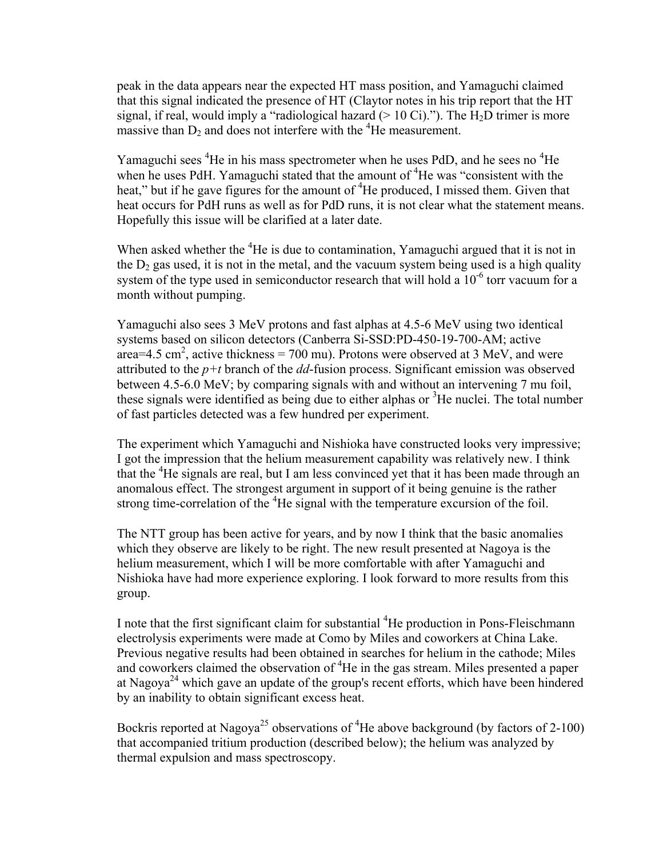peak in the data appears near the expected HT mass position, and Yamaguchi claimed that this signal indicated the presence of HT (Claytor notes in his trip report that the HT signal, if real, would imply a "radiological hazard ( $> 10$  Ci)."). The H<sub>2</sub>D trimer is more massive than  $D_2$  and does not interfere with the <sup>4</sup>He measurement.

Yamaguchi sees <sup>4</sup>He in his mass spectrometer when he uses PdD, and he sees no <sup>4</sup>He when he uses PdH. Yamaguchi stated that the amount of <sup>4</sup>He was "consistent with the heat," but if he gave figures for the amount of <sup>4</sup>He produced, I missed them. Given that heat occurs for PdH runs as well as for PdD runs, it is not clear what the statement means. Hopefully this issue will be clarified at a later date.

When asked whether the <sup>4</sup>He is due to contamination, Yamaguchi argued that it is not in the  $D_2$  gas used, it is not in the metal, and the vacuum system being used is a high quality system of the type used in semiconductor research that will hold a  $10^{-6}$  torr vacuum for a month without pumping.

Yamaguchi also sees 3 MeV protons and fast alphas at 4.5-6 MeV using two identical systems based on silicon detectors (Canberra Si-SSD:PD-450-19-700-AM; active area=4.5 cm<sup>2</sup>, active thickness = 700 mu). Protons were observed at 3 MeV, and were attributed to the  $p+t$  branch of the  $dd$ -fusion process. Significant emission was observed between 4.5-6.0 MeV; by comparing signals with and without an intervening 7 mu foil, these signals were identified as being due to either alphas or <sup>3</sup>He nuclei. The total number of fast particles detected was a few hundred per experiment.

The experiment which Yamaguchi and Nishioka have constructed looks very impressive; I got the impression that the helium measurement capability was relatively new. I think that the <sup>4</sup>He signals are real, but I am less convinced yet that it has been made through an anomalous effect. The strongest argument in support of it being genuine is the rather strong time-correlation of the  ${}^{4}$ He signal with the temperature excursion of the foil.

The NTT group has been active for years, and by now I think that the basic anomalies which they observe are likely to be right. The new result presented at Nagoya is the helium measurement, which I will be more comfortable with after Yamaguchi and Nishioka have had more experience exploring. I look forward to more results from this group.

I note that the first significant claim for substantial <sup>4</sup>He production in Pons-Fleischmann electrolysis experiments were made at Como by Miles and coworkers at China Lake. Previous negative results had been obtained in searches for helium in the cathode; Miles and coworkers claimed the observation of <sup>4</sup>He in the gas stream. Miles presented a paper at Nagoya<sup>24</sup> which gave an update of the group's recent efforts, which have been hindered by an inability to obtain significant excess heat.

Bockris reported at Nagoya<sup>25</sup> observations of <sup>4</sup>He above background (by factors of 2-100) that accompanied tritium production (described below); the helium was analyzed by thermal expulsion and mass spectroscopy.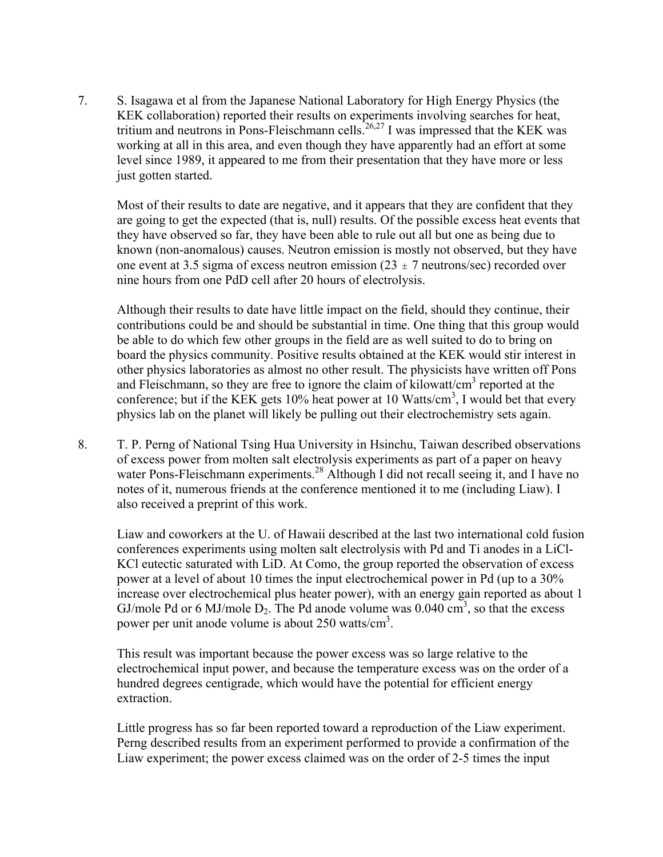7. S. Isagawa et al from the Japanese National Laboratory for High Energy Physics (the KEK collaboration) reported their results on experiments involving searches for heat, tritium and neutrons in Pons-Fleischmann cells.<sup>26,27</sup> I was impressed that the KEK was working at all in this area, and even though they have apparently had an effort at some level since 1989, it appeared to me from their presentation that they have more or less just gotten started.

Most of their results to date are negative, and it appears that they are confident that they are going to get the expected (that is, null) results. Of the possible excess heat events that they have observed so far, they have been able to rule out all but one as being due to known (non-anomalous) causes. Neutron emission is mostly not observed, but they have one event at 3.5 sigma of excess neutron emission (23  $\pm$  7 neutrons/sec) recorded over nine hours from one PdD cell after 20 hours of electrolysis.

Although their results to date have little impact on the field, should they continue, their contributions could be and should be substantial in time. One thing that this group would be able to do which few other groups in the field are as well suited to do to bring on board the physics community. Positive results obtained at the KEK would stir interest in other physics laboratories as almost no other result. The physicists have written off Pons and Fleischmann, so they are free to ignore the claim of kilowatt/ $\text{cm}^3$  reported at the conference; but if the KEK gets  $10\%$  heat power at 10 Watts/cm<sup>3</sup>, I would bet that every physics lab on the planet will likely be pulling out their electrochemistry sets again.

8. T. P. Perng of National Tsing Hua University in Hsinchu, Taiwan described observations of excess power from molten salt electrolysis experiments as part of a paper on heavy water Pons-Fleischmann experiments.<sup>28</sup> Although I did not recall seeing it, and I have no notes of it, numerous friends at the conference mentioned it to me (including Liaw). I also received a preprint of this work.

Liaw and coworkers at the U. of Hawaii described at the last two international cold fusion conferences experiments using molten salt electrolysis with Pd and Ti anodes in a LiCl-KCl eutectic saturated with LiD. At Como, the group reported the observation of excess power at a level of about 10 times the input electrochemical power in Pd (up to a 30% increase over electrochemical plus heater power), with an energy gain reported as about 1 GJ/mole Pd or 6 MJ/mole  $D_2$ . The Pd anode volume was 0.040 cm<sup>3</sup>, so that the excess power per unit anode volume is about  $250$  watts/cm<sup>3</sup>.

This result was important because the power excess was so large relative to the electrochemical input power, and because the temperature excess was on the order of a hundred degrees centigrade, which would have the potential for efficient energy extraction.

Little progress has so far been reported toward a reproduction of the Liaw experiment. Perng described results from an experiment performed to provide a confirmation of the Liaw experiment; the power excess claimed was on the order of 2-5 times the input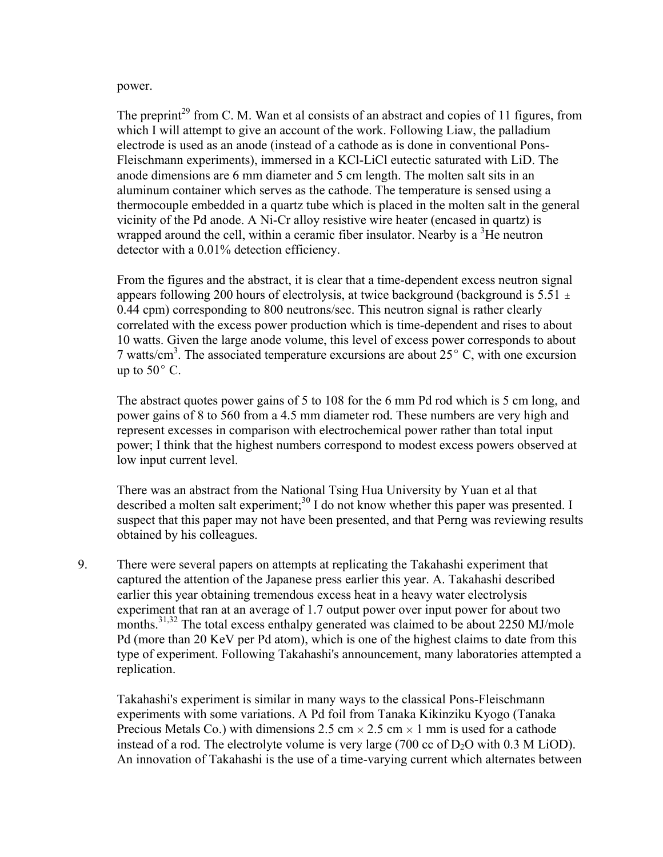#### power.

The preprint<sup>29</sup> from C. M. Wan et al consists of an abstract and copies of 11 figures, from which I will attempt to give an account of the work. Following Liaw, the palladium electrode is used as an anode (instead of a cathode as is done in conventional Pons-Fleischmann experiments), immersed in a KCl-LiCl eutectic saturated with LiD. The anode dimensions are 6 mm diameter and 5 cm length. The molten salt sits in an aluminum container which serves as the cathode. The temperature is sensed using a thermocouple embedded in a quartz tube which is placed in the molten salt in the general vicinity of the Pd anode. A Ni-Cr alloy resistive wire heater (encased in quartz) is wrapped around the cell, within a ceramic fiber insulator. Nearby is a  ${}^{3}$ He neutron detector with a 0.01% detection efficiency.

From the figures and the abstract, it is clear that a time-dependent excess neutron signal appears following 200 hours of electrolysis, at twice background (background is  $5.51 \pm 1$ 0.44 cpm) corresponding to 800 neutrons/sec. This neutron signal is rather clearly correlated with the excess power production which is time-dependent and rises to about 10 watts. Given the large anode volume, this level of excess power corresponds to about 7 watts/cm<sup>3</sup>. The associated temperature excursions are about  $25^{\circ}$  C, with one excursion up to  $50^{\circ}$  C.

The abstract quotes power gains of 5 to 108 for the 6 mm Pd rod which is 5 cm long, and power gains of 8 to 560 from a 4.5 mm diameter rod. These numbers are very high and represent excesses in comparison with electrochemical power rather than total input power; I think that the highest numbers correspond to modest excess powers observed at low input current level.

There was an abstract from the National Tsing Hua University by Yuan et al that described a molten salt experiment;<sup>30</sup> I do not know whether this paper was presented. I suspect that this paper may not have been presented, and that Perng was reviewing results obtained by his colleagues.

9. There were several papers on attempts at replicating the Takahashi experiment that captured the attention of the Japanese press earlier this year. A. Takahashi described earlier this year obtaining tremendous excess heat in a heavy water electrolysis experiment that ran at an average of 1.7 output power over input power for about two months.<sup>31,32</sup> The total excess enthalpy generated was claimed to be about 2250 MJ/mole Pd (more than 20 KeV per Pd atom), which is one of the highest claims to date from this type of experiment. Following Takahashi's announcement, many laboratories attempted a replication.

Takahashi's experiment is similar in many ways to the classical Pons-Fleischmann experiments with some variations. A Pd foil from Tanaka Kikinziku Kyogo (Tanaka Precious Metals Co.) with dimensions 2.5 cm  $\times$  2.5 cm  $\times$  1 mm is used for a cathode instead of a rod. The electrolyte volume is very large  $(700 \text{ cc of D}_2\text{O with } 0.3 \text{ M }$  LiOD). An innovation of Takahashi is the use of a time-varying current which alternates between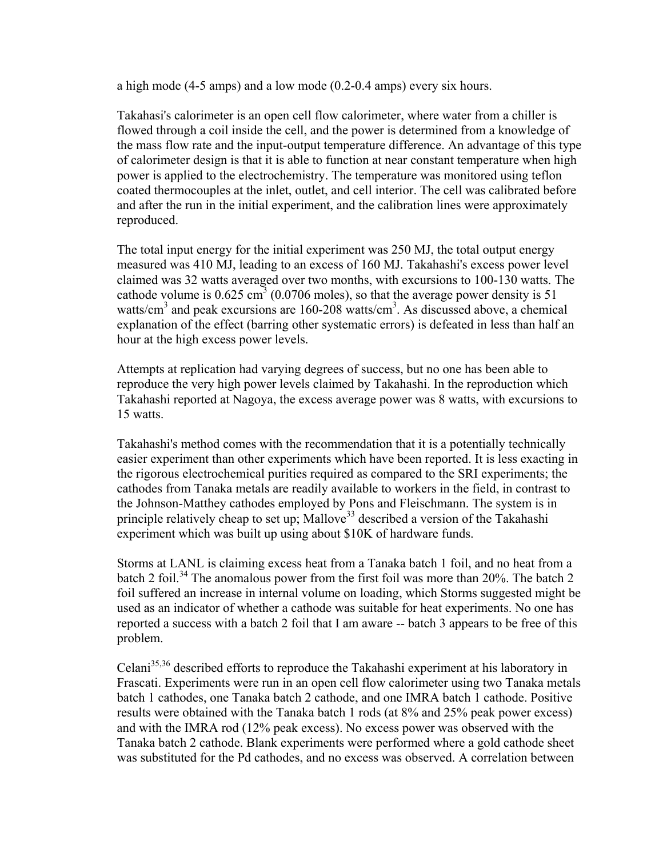a high mode (4-5 amps) and a low mode (0.2-0.4 amps) every six hours.

Takahasi's calorimeter is an open cell flow calorimeter, where water from a chiller is flowed through a coil inside the cell, and the power is determined from a knowledge of the mass flow rate and the input-output temperature difference. An advantage of this type of calorimeter design is that it is able to function at near constant temperature when high power is applied to the electrochemistry. The temperature was monitored using teflon coated thermocouples at the inlet, outlet, and cell interior. The cell was calibrated before and after the run in the initial experiment, and the calibration lines were approximately reproduced.

The total input energy for the initial experiment was 250 MJ, the total output energy measured was 410 MJ, leading to an excess of 160 MJ. Takahashi's excess power level claimed was 32 watts averaged over two months, with excursions to 100-130 watts. The cathode volume is  $0.625 \text{ cm}^3$  (0.0706 moles), so that the average power density is 51 watts/cm<sup>3</sup> and peak excursions are 160-208 watts/cm<sup>3</sup>. As discussed above, a chemical explanation of the effect (barring other systematic errors) is defeated in less than half an hour at the high excess power levels.

Attempts at replication had varying degrees of success, but no one has been able to reproduce the very high power levels claimed by Takahashi. In the reproduction which Takahashi reported at Nagoya, the excess average power was 8 watts, with excursions to 15 watts.

Takahashi's method comes with the recommendation that it is a potentially technically easier experiment than other experiments which have been reported. It is less exacting in the rigorous electrochemical purities required as compared to the SRI experiments; the cathodes from Tanaka metals are readily available to workers in the field, in contrast to the Johnson-Matthey cathodes employed by Pons and Fleischmann. The system is in principle relatively cheap to set up; Mallove<sup>33</sup> described a version of the Takahashi experiment which was built up using about \$10K of hardware funds.

Storms at LANL is claiming excess heat from a Tanaka batch 1 foil, and no heat from a batch 2 foil.<sup>34</sup> The anomalous power from the first foil was more than 20%. The batch 2 foil suffered an increase in internal volume on loading, which Storms suggested might be used as an indicator of whether a cathode was suitable for heat experiments. No one has reported a success with a batch 2 foil that I am aware -- batch 3 appears to be free of this problem.

Celani<sup>35,36</sup> described efforts to reproduce the Takahashi experiment at his laboratory in Frascati. Experiments were run in an open cell flow calorimeter using two Tanaka metals batch 1 cathodes, one Tanaka batch 2 cathode, and one IMRA batch 1 cathode. Positive results were obtained with the Tanaka batch 1 rods (at 8% and 25% peak power excess) and with the IMRA rod (12% peak excess). No excess power was observed with the Tanaka batch 2 cathode. Blank experiments were performed where a gold cathode sheet was substituted for the Pd cathodes, and no excess was observed. A correlation between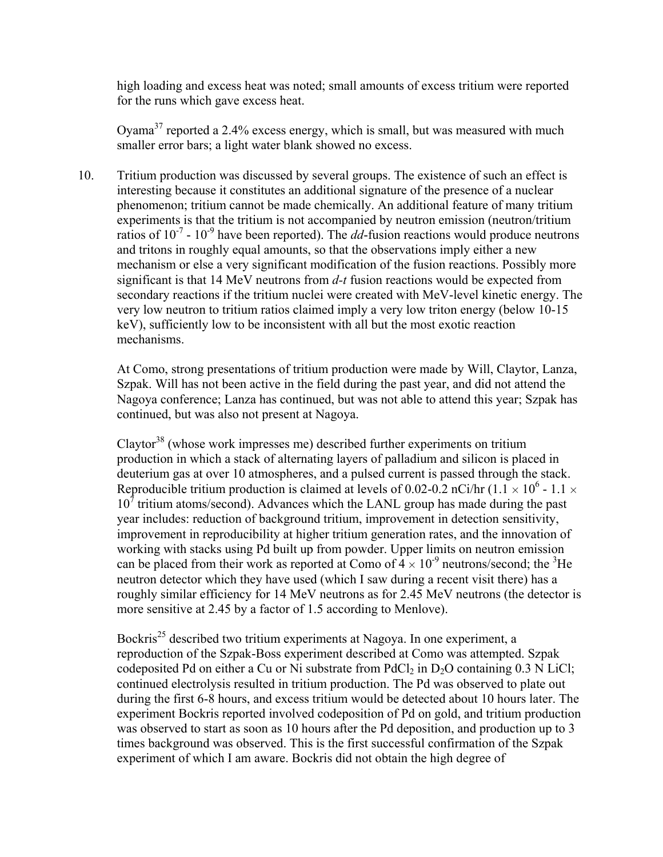high loading and excess heat was noted; small amounts of excess tritium were reported for the runs which gave excess heat.

Oyama<sup>37</sup> reported a 2.4% excess energy, which is small, but was measured with much smaller error bars; a light water blank showed no excess.

10. Tritium production was discussed by several groups. The existence of such an effect is interesting because it constitutes an additional signature of the presence of a nuclear phenomenon; tritium cannot be made chemically. An additional feature of many tritium experiments is that the tritium is not accompanied by neutron emission (neutron/tritium ratios of  $10^{-7}$  -  $10^{-9}$  have been reported). The *dd*-fusion reactions would produce neutrons and tritons in roughly equal amounts, so that the observations imply either a new mechanism or else a very significant modification of the fusion reactions. Possibly more significant is that 14 MeV neutrons from *d-t* fusion reactions would be expected from secondary reactions if the tritium nuclei were created with MeV-level kinetic energy. The very low neutron to tritium ratios claimed imply a very low triton energy (below 10-15 keV), sufficiently low to be inconsistent with all but the most exotic reaction mechanisms.

At Como, strong presentations of tritium production were made by Will, Claytor, Lanza, Szpak. Will has not been active in the field during the past year, and did not attend the Nagoya conference; Lanza has continued, but was not able to attend this year; Szpak has continued, but was also not present at Nagoya.

 $Clavtor<sup>38</sup>$  (whose work impresses me) described further experiments on tritium production in which a stack of alternating layers of palladium and silicon is placed in deuterium gas at over 10 atmospheres, and a pulsed current is passed through the stack. Reproducible tritium production is claimed at levels of 0.02-0.2 nCi/hr (1.1  $\times$  10<sup>6</sup> - 1.1  $\times$  $10^7$  tritium atoms/second). Advances which the LANL group has made during the past year includes: reduction of background tritium, improvement in detection sensitivity, improvement in reproducibility at higher tritium generation rates, and the innovation of working with stacks using Pd built up from powder. Upper limits on neutron emission can be placed from their work as reported at Como of  $4 \times 10^{-9}$  neutrons/second; the <sup>3</sup>He neutron detector which they have used (which I saw during a recent visit there) has a roughly similar efficiency for 14 MeV neutrons as for 2.45 MeV neutrons (the detector is more sensitive at 2.45 by a factor of 1.5 according to Menlove).

Bockris<sup>25</sup> described two tritium experiments at Nagoya. In one experiment, a reproduction of the Szpak-Boss experiment described at Como was attempted. Szpak codeposited Pd on either a Cu or Ni substrate from PdCl<sub>2</sub> in D<sub>2</sub>O containing  $0.3$  N LiCl; continued electrolysis resulted in tritium production. The Pd was observed to plate out during the first 6-8 hours, and excess tritium would be detected about 10 hours later. The experiment Bockris reported involved codeposition of Pd on gold, and tritium production was observed to start as soon as 10 hours after the Pd deposition, and production up to 3 times background was observed. This is the first successful confirmation of the Szpak experiment of which I am aware. Bockris did not obtain the high degree of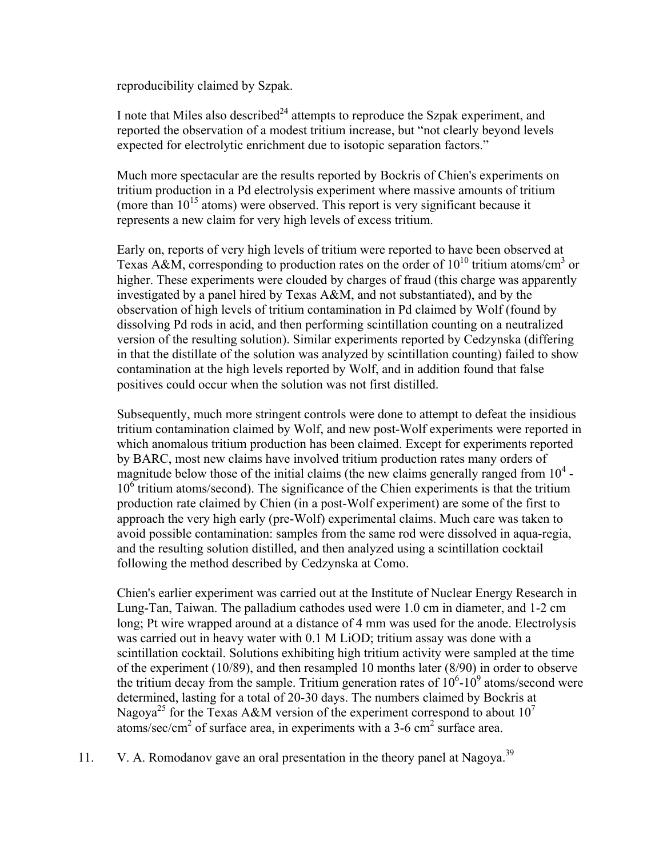reproducibility claimed by Szpak.

I note that Miles also described<sup>24</sup> attempts to reproduce the Szpak experiment, and reported the observation of a modest tritium increase, but "not clearly beyond levels expected for electrolytic enrichment due to isotopic separation factors."

Much more spectacular are the results reported by Bockris of Chien's experiments on tritium production in a Pd electrolysis experiment where massive amounts of tritium (more than  $10^{15}$  atoms) were observed. This report is very significant because it represents a new claim for very high levels of excess tritium.

Early on, reports of very high levels of tritium were reported to have been observed at Texas A&M, corresponding to production rates on the order of  $10^{10}$  tritium atoms/cm<sup>3</sup> or higher. These experiments were clouded by charges of fraud (this charge was apparently investigated by a panel hired by Texas A&M, and not substantiated), and by the observation of high levels of tritium contamination in Pd claimed by Wolf (found by dissolving Pd rods in acid, and then performing scintillation counting on a neutralized version of the resulting solution). Similar experiments reported by Cedzynska (differing in that the distillate of the solution was analyzed by scintillation counting) failed to show contamination at the high levels reported by Wolf, and in addition found that false positives could occur when the solution was not first distilled.

Subsequently, much more stringent controls were done to attempt to defeat the insidious tritium contamination claimed by Wolf, and new post-Wolf experiments were reported in which anomalous tritium production has been claimed. Except for experiments reported by BARC, most new claims have involved tritium production rates many orders of magnitude below those of the initial claims (the new claims generally ranged from  $10<sup>4</sup>$  -10<sup>6</sup> tritium atoms/second). The significance of the Chien experiments is that the tritium production rate claimed by Chien (in a post-Wolf experiment) are some of the first to approach the very high early (pre-Wolf) experimental claims. Much care was taken to avoid possible contamination: samples from the same rod were dissolved in aqua-regia, and the resulting solution distilled, and then analyzed using a scintillation cocktail following the method described by Cedzynska at Como.

Chien's earlier experiment was carried out at the Institute of Nuclear Energy Research in Lung-Tan, Taiwan. The palladium cathodes used were 1.0 cm in diameter, and 1-2 cm long; Pt wire wrapped around at a distance of 4 mm was used for the anode. Electrolysis was carried out in heavy water with 0.1 M LiOD; tritium assay was done with a scintillation cocktail. Solutions exhibiting high tritium activity were sampled at the time of the experiment (10/89), and then resampled 10 months later (8/90) in order to observe the tritium decay from the sample. Tritium generation rates of  $10^6$ - $10^9$  atoms/second were determined, lasting for a total of 20-30 days. The numbers claimed by Bockris at Nagoya<sup>25</sup> for the Texas A&M version of the experiment correspond to about  $10^7$ atoms/sec/cm<sup>2</sup> of surface area, in experiments with a 3-6 cm<sup>2</sup> surface area.

11. V. A. Romodanov gave an oral presentation in the theory panel at Nagoya.<sup>39</sup>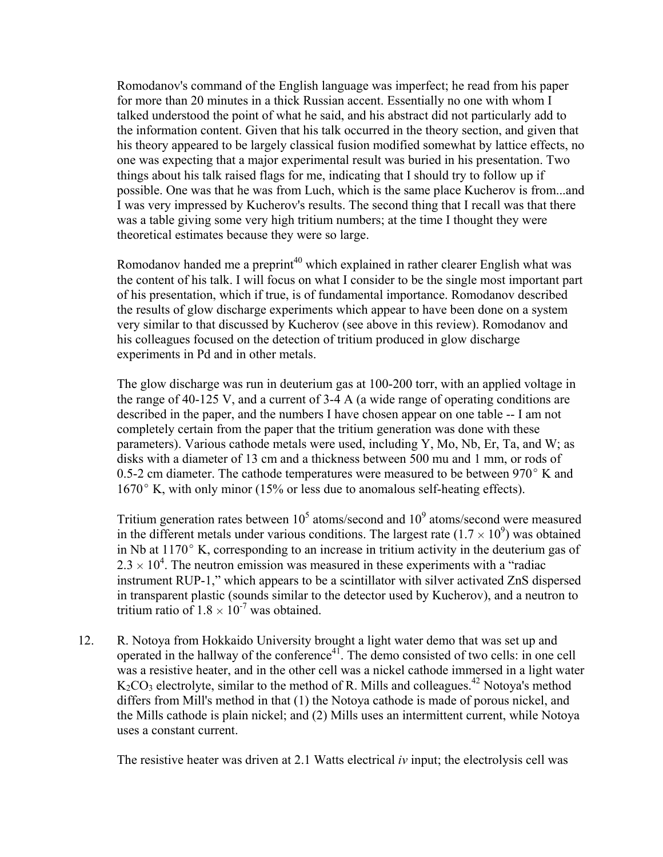Romodanov's command of the English language was imperfect; he read from his paper for more than 20 minutes in a thick Russian accent. Essentially no one with whom I talked understood the point of what he said, and his abstract did not particularly add to the information content. Given that his talk occurred in the theory section, and given that his theory appeared to be largely classical fusion modified somewhat by lattice effects, no one was expecting that a major experimental result was buried in his presentation. Two things about his talk raised flags for me, indicating that I should try to follow up if possible. One was that he was from Luch, which is the same place Kucherov is from...and I was very impressed by Kucherov's results. The second thing that I recall was that there was a table giving some very high tritium numbers; at the time I thought they were theoretical estimates because they were so large.

Romodanov handed me a preprint<sup>40</sup> which explained in rather clearer English what was the content of his talk. I will focus on what I consider to be the single most important part of his presentation, which if true, is of fundamental importance. Romodanov described the results of glow discharge experiments which appear to have been done on a system very similar to that discussed by Kucherov (see above in this review). Romodanov and his colleagues focused on the detection of tritium produced in glow discharge experiments in Pd and in other metals.

The glow discharge was run in deuterium gas at 100-200 torr, with an applied voltage in the range of 40-125 V, and a current of 3-4 A (a wide range of operating conditions are described in the paper, and the numbers I have chosen appear on one table -- I am not completely certain from the paper that the tritium generation was done with these parameters). Various cathode metals were used, including Y, Mo, Nb, Er, Ta, and W; as disks with a diameter of 13 cm and a thickness between 500 mu and 1 mm, or rods of 0.5-2 cm diameter. The cathode temperatures were measured to be between  $970^{\circ}$  K and  $1670^{\circ}$  K, with only minor (15% or less due to anomalous self-heating effects).

Tritium generation rates between  $10^5$  atoms/second and  $10^9$  atoms/second were measured in the different metals under various conditions. The largest rate  $(1.7 \times 10^9)$  was obtained in Nb at  $1170^{\circ}$  K, corresponding to an increase in tritium activity in the deuterium gas of  $2.3 \times 10^4$ . The neutron emission was measured in these experiments with a "radiac" instrument RUP-1," which appears to be a scintillator with silver activated ZnS dispersed in transparent plastic (sounds similar to the detector used by Kucherov), and a neutron to tritium ratio of  $1.8 \times 10^{-7}$  was obtained.

12. R. Notoya from Hokkaido University brought a light water demo that was set up and operated in the hallway of the conference $4<sup>1</sup>$ . The demo consisted of two cells: in one cell was a resistive heater, and in the other cell was a nickel cathode immersed in a light water  $K_2CO_3$  electrolyte, similar to the method of R. Mills and colleagues.<sup>42</sup> Notova's method differs from Mill's method in that (1) the Notoya cathode is made of porous nickel, and the Mills cathode is plain nickel; and (2) Mills uses an intermittent current, while Notoya uses a constant current.

The resistive heater was driven at 2.1 Watts electrical *iv* input; the electrolysis cell was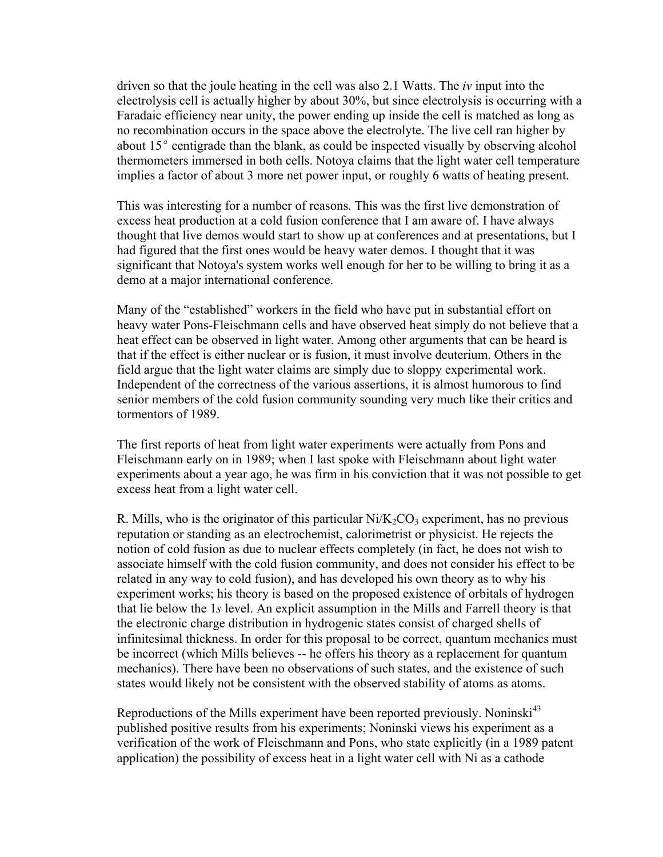driven so that the joule heating in the cell was also 2.1 Watts. The *iv* input into the electrolysis cell is actually higher by about 30%, but since electrolysis is occurring with a Faradaic efficiency near unity, the power ending up inside the cell is matched as long as no recombination occurs in the space above the electrolyte. The live cell ran higher by about  $15^{\circ}$  centigrade than the blank, as could be inspected visually by observing alcohol thermometers immersed in both cells. Notoya claims that the light water cell temperature implies a factor of about 3 more net power input, or roughly 6 watts of heating present.

This was interesting for a number of reasons. This was the first live demonstration of excess heat production at a cold fusion conference that I am aware of. I have always thought that live demos would start to show up at conferences and at presentations, but I had figured that the first ones would be heavy water demos. I thought that it was significant that Notoya's system works well enough for her to be willing to bring it as a demo at a major international conference.

Many of the "established" workers in the field who have put in substantial effort on heavy water Pons-Fleischmann cells and have observed heat simply do not believe that a heat effect can be observed in light water. Among other arguments that can be heard is that if the effect is either nuclear or is fusion, it must involve deuterium. Others in the field argue that the light water claims are simply due to sloppy experimental work. Independent of the correctness of the various assertions, it is almost humorous to find senior members of the cold fusion community sounding very much like their critics and tormentors of 1989.

The first reports of heat from light water experiments were actually from Pons and Fleischmann early on in 1989; when I last spoke with Fleischmann about light water experiments about a year ago, he was firm in his conviction that it was not possible to get excess heat from a light water cell.

R. Mills, who is the originator of this particular  $Ni/K_2CO_3$  experiment, has no previous reputation or standing as an electrochemist, calorimetrist or physicist. He rejects the notion of cold fusion as due to nuclear effects completely (in fact, he does not wish to associate himself with the cold fusion community, and does not consider his effect to be related in any way to cold fusion), and has developed his own theory as to why his experiment works; his theory is based on the proposed existence of orbitals of hydrogen that lie below the 1*s* level. An explicit assumption in the Mills and Farrell theory is that the electronic charge distribution in hydrogenic states consist of charged shells of infinitesimal thickness. In order for this proposal to be correct, quantum mechanics must be incorrect (which Mills believes -- he offers his theory as a replacement for quantum mechanics). There have been no observations of such states, and the existence of such states would likely not be consistent with the observed stability of atoms as atoms.

Reproductions of the Mills experiment have been reported previously. Noninski<sup>43</sup> published positive results from his experiments; Noninski views his experiment as a verification of the work of Fleischmann and Pons, who state explicitly (in a 1989 patent application) the possibility of excess heat in a light water cell with Ni as a cathode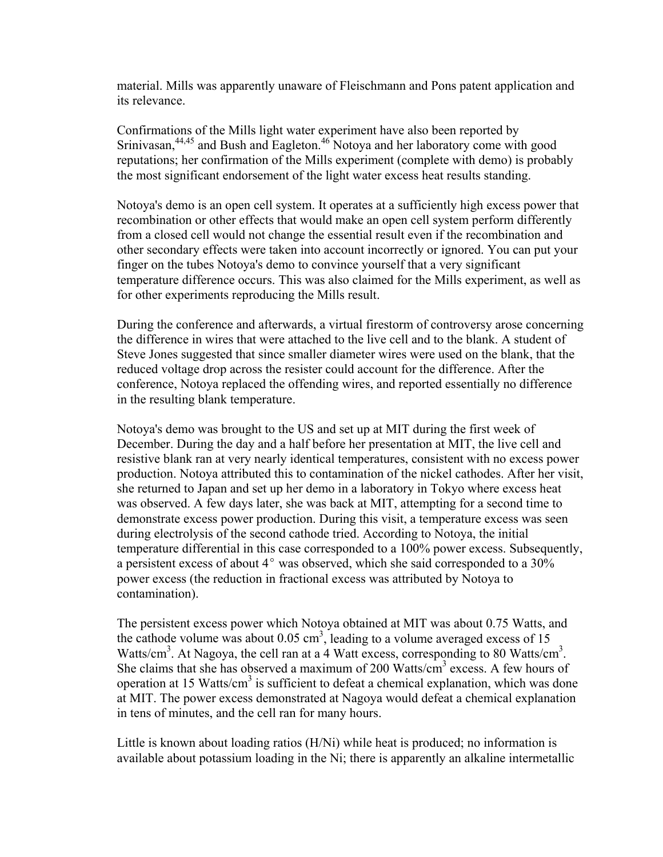material. Mills was apparently unaware of Fleischmann and Pons patent application and its relevance.

Confirmations of the Mills light water experiment have also been reported by Srinivasan,<sup>44,45</sup> and Bush and Eagleton.<sup>46</sup> Notoya and her laboratory come with good reputations; her confirmation of the Mills experiment (complete with demo) is probably the most significant endorsement of the light water excess heat results standing.

Notoya's demo is an open cell system. It operates at a sufficiently high excess power that recombination or other effects that would make an open cell system perform differently from a closed cell would not change the essential result even if the recombination and other secondary effects were taken into account incorrectly or ignored. You can put your finger on the tubes Notoya's demo to convince yourself that a very significant temperature difference occurs. This was also claimed for the Mills experiment, as well as for other experiments reproducing the Mills result.

During the conference and afterwards, a virtual firestorm of controversy arose concerning the difference in wires that were attached to the live cell and to the blank. A student of Steve Jones suggested that since smaller diameter wires were used on the blank, that the reduced voltage drop across the resister could account for the difference. After the conference, Notoya replaced the offending wires, and reported essentially no difference in the resulting blank temperature.

Notoya's demo was brought to the US and set up at MIT during the first week of December. During the day and a half before her presentation at MIT, the live cell and resistive blank ran at very nearly identical temperatures, consistent with no excess power production. Notoya attributed this to contamination of the nickel cathodes. After her visit, she returned to Japan and set up her demo in a laboratory in Tokyo where excess heat was observed. A few days later, she was back at MIT, attempting for a second time to demonstrate excess power production. During this visit, a temperature excess was seen during electrolysis of the second cathode tried. According to Notoya, the initial temperature differential in this case corresponded to a 100% power excess. Subsequently, a persistent excess of about  $4^{\circ}$  was observed, which she said corresponded to a 30% power excess (the reduction in fractional excess was attributed by Notoya to contamination).

The persistent excess power which Notoya obtained at MIT was about 0.75 Watts, and the cathode volume was about  $0.05 \text{ cm}^3$ , leading to a volume averaged excess of 15 Watts/cm<sup>3</sup>. At Nagoya, the cell ran at a 4 Watt excess, corresponding to 80 Watts/cm<sup>3</sup>. She claims that she has observed a maximum of 200 Watts/cm<sup>3</sup> excess. A few hours of operation at 15 Watts/cm<sup>3</sup> is sufficient to defeat a chemical explanation, which was done at MIT. The power excess demonstrated at Nagoya would defeat a chemical explanation in tens of minutes, and the cell ran for many hours.

Little is known about loading ratios (H/Ni) while heat is produced; no information is available about potassium loading in the Ni; there is apparently an alkaline intermetallic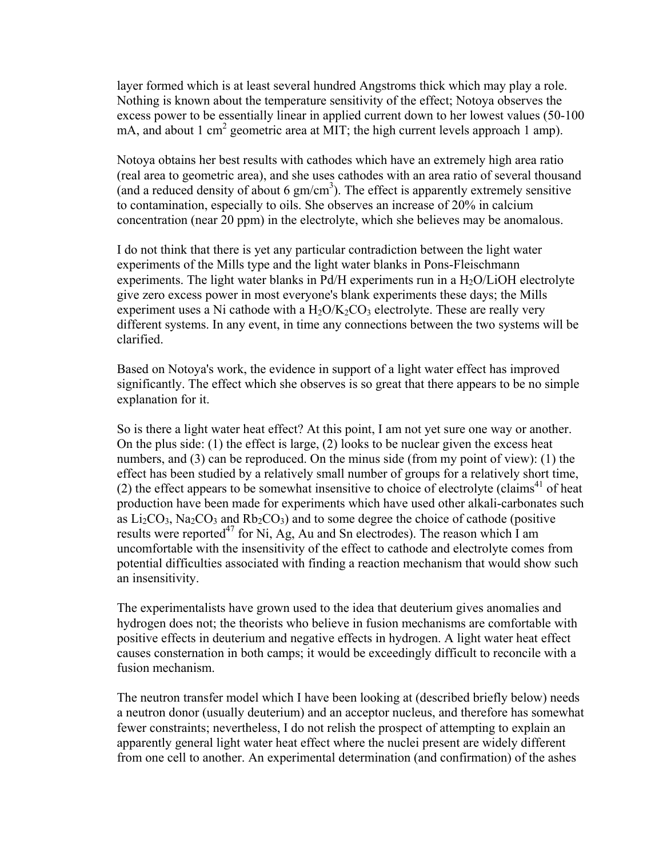layer formed which is at least several hundred Angstroms thick which may play a role. Nothing is known about the temperature sensitivity of the effect; Notoya observes the excess power to be essentially linear in applied current down to her lowest values (50-100 mA, and about 1 cm<sup>2</sup> geometric area at MIT; the high current levels approach 1 amp).

Notoya obtains her best results with cathodes which have an extremely high area ratio (real area to geometric area), and she uses cathodes with an area ratio of several thousand (and a reduced density of about 6  $gm/cm<sup>3</sup>$ ). The effect is apparently extremely sensitive to contamination, especially to oils. She observes an increase of 20% in calcium concentration (near 20 ppm) in the electrolyte, which she believes may be anomalous.

I do not think that there is yet any particular contradiction between the light water experiments of the Mills type and the light water blanks in Pons-Fleischmann experiments. The light water blanks in Pd/H experiments run in a  $H<sub>2</sub>O/LiOH$  electrolyte give zero excess power in most everyone's blank experiments these days; the Mills experiment uses a Ni cathode with a  $H_2O/K_2CO_3$  electrolyte. These are really very different systems. In any event, in time any connections between the two systems will be clarified.

Based on Notoya's work, the evidence in support of a light water effect has improved significantly. The effect which she observes is so great that there appears to be no simple explanation for it.

So is there a light water heat effect? At this point, I am not yet sure one way or another. On the plus side: (1) the effect is large, (2) looks to be nuclear given the excess heat numbers, and (3) can be reproduced. On the minus side (from my point of view): (1) the effect has been studied by a relatively small number of groups for a relatively short time, (2) the effect appears to be somewhat insensitive to choice of electrolyte (claims<sup>41</sup> of heat production have been made for experiments which have used other alkali-carbonates such as  $Li<sub>2</sub>CO<sub>3</sub>$ , Na<sub>2</sub>CO<sub>3</sub> and Rb<sub>2</sub>CO<sub>3</sub>) and to some degree the choice of cathode (positive results were reported<sup>47</sup> for Ni, Ag, Au and Sn electrodes). The reason which I am uncomfortable with the insensitivity of the effect to cathode and electrolyte comes from potential difficulties associated with finding a reaction mechanism that would show such an insensitivity.

The experimentalists have grown used to the idea that deuterium gives anomalies and hydrogen does not; the theorists who believe in fusion mechanisms are comfortable with positive effects in deuterium and negative effects in hydrogen. A light water heat effect causes consternation in both camps; it would be exceedingly difficult to reconcile with a fusion mechanism.

The neutron transfer model which I have been looking at (described briefly below) needs a neutron donor (usually deuterium) and an acceptor nucleus, and therefore has somewhat fewer constraints; nevertheless, I do not relish the prospect of attempting to explain an apparently general light water heat effect where the nuclei present are widely different from one cell to another. An experimental determination (and confirmation) of the ashes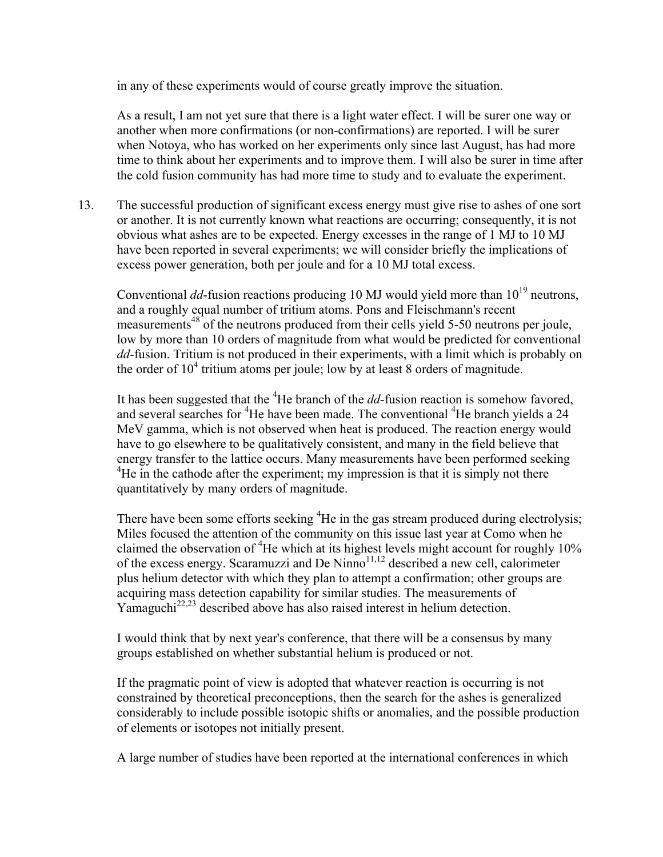in any of these experiments would of course greatly improve the situation.

As a result, I am not yet sure that there is a light water effect. I will be surer one way or another when more confirmations (or non-confirmations) are reported. I will be surer when Notoya, who has worked on her experiments only since last August, has had more time to think about her experiments and to improve them. I will also be surer in time after the cold fusion community has had more time to study and to evaluate the experiment.

13. The successful production of significant excess energy must give rise to ashes of one sort or another. It is not currently known what reactions are occurring; consequently, it is not obvious what ashes are to be expected. Energy excesses in the range of 1 MJ to 10 MJ have been reported in several experiments; we will consider briefly the implications of excess power generation, both per joule and for a 10 MJ total excess.

Conventional  $dd$ -fusion reactions producing 10 MJ would yield more than  $10^{19}$  neutrons. and a roughly equal number of tritium atoms. Pons and Fleischmann's recent measurements<sup>48</sup> of the neutrons produced from their cells yield 5-50 neutrons per joule, low by more than 10 orders of magnitude from what would be predicted for conventional *dd*-fusion. Tritium is not produced in their experiments, with a limit which is probably on the order of  $10^4$  tritium atoms per joule; low by at least 8 orders of magnitude.

It has been suggested that the <sup>4</sup>He branch of the *dd*-fusion reaction is somehow favored, and several searches for <sup>4</sup>He have been made. The conventional <sup>4</sup>He branch yields a 24 MeV gamma, which is not observed when heat is produced. The reaction energy would have to go elsewhere to be qualitatively consistent, and many in the field believe that energy transfer to the lattice occurs. Many measurements have been performed seeking <sup>4</sup>He in the cathode after the experiment; my impression is that it is simply not there quantitatively by many orders of magnitude.

There have been some efforts seeking <sup>4</sup>He in the gas stream produced during electrolysis; Miles focused the attention of the community on this issue last year at Como when he claimed the observation of <sup>4</sup>He which at its highest levels might account for roughly 10% of the excess energy. Scaramuzzi and De Ninno $^{11,12}$  described a new cell, calorimeter plus helium detector with which they plan to attempt a confirmation; other groups are acquiring mass detection capability for similar studies. The measurements of Yamaguchi<sup>22,23</sup> described above has also raised interest in helium detection.

I would think that by next year's conference, that there will be a consensus by many groups established on whether substantial helium is produced or not.

If the pragmatic point of view is adopted that whatever reaction is occurring is not constrained by theoretical preconceptions, then the search for the ashes is generalized considerably to include possible isotopic shifts or anomalies, and the possible production of elements or isotopes not initially present.

A large number of studies have been reported at the international conferences in which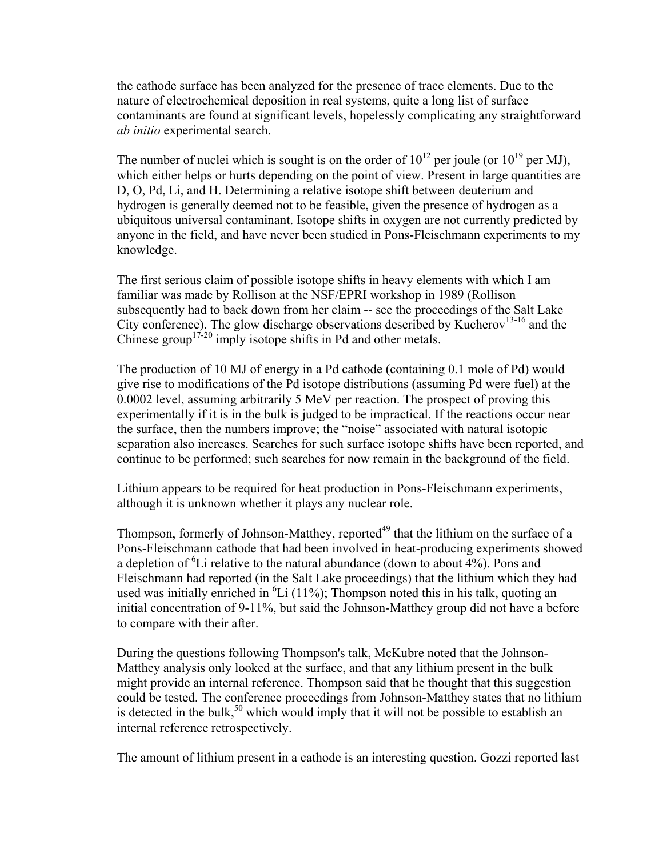the cathode surface has been analyzed for the presence of trace elements. Due to the nature of electrochemical deposition in real systems, quite a long list of surface contaminants are found at significant levels, hopelessly complicating any straightforward *ab initio* experimental search.

The number of nuclei which is sought is on the order of  $10^{12}$  per joule (or  $10^{19}$  per MJ), which either helps or hurts depending on the point of view. Present in large quantities are D, O, Pd, Li, and H. Determining a relative isotope shift between deuterium and hydrogen is generally deemed not to be feasible, given the presence of hydrogen as a ubiquitous universal contaminant. Isotope shifts in oxygen are not currently predicted by anyone in the field, and have never been studied in Pons-Fleischmann experiments to my knowledge.

The first serious claim of possible isotope shifts in heavy elements with which I am familiar was made by Rollison at the NSF/EPRI workshop in 1989 (Rollison subsequently had to back down from her claim -- see the proceedings of the Salt Lake City conference). The glow discharge observations described by Kucherov<sup>13-16</sup> and the Chinese group<sup> $17-20$ </sup> imply isotope shifts in Pd and other metals.

The production of 10 MJ of energy in a Pd cathode (containing 0.1 mole of Pd) would give rise to modifications of the Pd isotope distributions (assuming Pd were fuel) at the 0.0002 level, assuming arbitrarily 5 MeV per reaction. The prospect of proving this experimentally if it is in the bulk is judged to be impractical. If the reactions occur near the surface, then the numbers improve; the "noise" associated with natural isotopic separation also increases. Searches for such surface isotope shifts have been reported, and continue to be performed; such searches for now remain in the background of the field.

Lithium appears to be required for heat production in Pons-Fleischmann experiments, although it is unknown whether it plays any nuclear role.

Thompson, formerly of Johnson-Matthey, reported<sup>49</sup> that the lithium on the surface of a Pons-Fleischmann cathode that had been involved in heat-producing experiments showed a depletion of <sup>6</sup>Li relative to the natural abundance (down to about  $4\%$ ). Pons and Fleischmann had reported (in the Salt Lake proceedings) that the lithium which they had used was initially enriched in  ${}^{6}Li$  (11%); Thompson noted this in his talk, quoting an initial concentration of 9-11%, but said the Johnson-Matthey group did not have a before to compare with their after.

During the questions following Thompson's talk, McKubre noted that the Johnson-Matthey analysis only looked at the surface, and that any lithium present in the bulk might provide an internal reference. Thompson said that he thought that this suggestion could be tested. The conference proceedings from Johnson-Matthey states that no lithium is detected in the bulk,<sup>50</sup> which would imply that it will not be possible to establish an internal reference retrospectively.

The amount of lithium present in a cathode is an interesting question. Gozzi reported last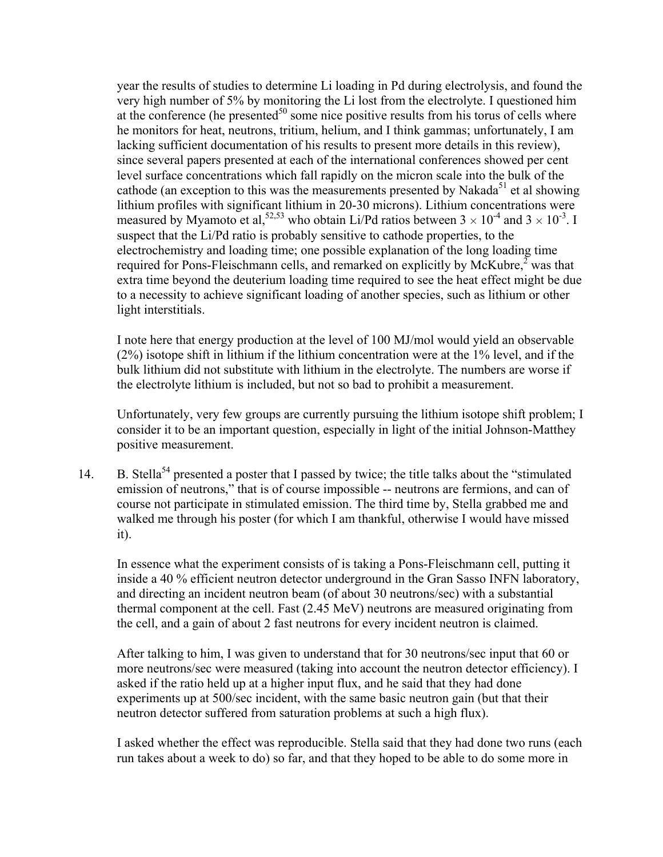year the results of studies to determine Li loading in Pd during electrolysis, and found the very high number of 5% by monitoring the Li lost from the electrolyte. I questioned him at the conference (he presented $^{50}$  some nice positive results from his torus of cells where he monitors for heat, neutrons, tritium, helium, and I think gammas; unfortunately, I am lacking sufficient documentation of his results to present more details in this review), since several papers presented at each of the international conferences showed per cent level surface concentrations which fall rapidly on the micron scale into the bulk of the cathode (an exception to this was the measurements presented by Nakada<sup>51</sup> et al showing lithium profiles with significant lithium in 20-30 microns). Lithium concentrations were measured by Myamoto et al, <sup>52,53</sup> who obtain Li/Pd ratios between  $3 \times 10^{-4}$  and  $3 \times 10^{-3}$ . I suspect that the Li/Pd ratio is probably sensitive to cathode properties, to the electrochemistry and loading time; one possible explanation of the long loading time required for Pons-Fleischmann cells, and remarked on explicitly by McKubre, $\frac{2}{3}$  was that extra time beyond the deuterium loading time required to see the heat effect might be due to a necessity to achieve significant loading of another species, such as lithium or other light interstitials.

I note here that energy production at the level of 100 MJ/mol would yield an observable (2%) isotope shift in lithium if the lithium concentration were at the 1% level, and if the bulk lithium did not substitute with lithium in the electrolyte. The numbers are worse if the electrolyte lithium is included, but not so bad to prohibit a measurement.

Unfortunately, very few groups are currently pursuing the lithium isotope shift problem; I consider it to be an important question, especially in light of the initial Johnson-Matthey positive measurement.

14. B. Stella<sup>54</sup> presented a poster that I passed by twice; the title talks about the "stimulated" emission of neutrons," that is of course impossible -- neutrons are fermions, and can of course not participate in stimulated emission. The third time by, Stella grabbed me and walked me through his poster (for which I am thankful, otherwise I would have missed it).

In essence what the experiment consists of is taking a Pons-Fleischmann cell, putting it inside a 40 % efficient neutron detector underground in the Gran Sasso INFN laboratory, and directing an incident neutron beam (of about 30 neutrons/sec) with a substantial thermal component at the cell. Fast (2.45 MeV) neutrons are measured originating from the cell, and a gain of about 2 fast neutrons for every incident neutron is claimed.

After talking to him, I was given to understand that for 30 neutrons/sec input that 60 or more neutrons/sec were measured (taking into account the neutron detector efficiency). I asked if the ratio held up at a higher input flux, and he said that they had done experiments up at 500/sec incident, with the same basic neutron gain (but that their neutron detector suffered from saturation problems at such a high flux).

I asked whether the effect was reproducible. Stella said that they had done two runs (each run takes about a week to do) so far, and that they hoped to be able to do some more in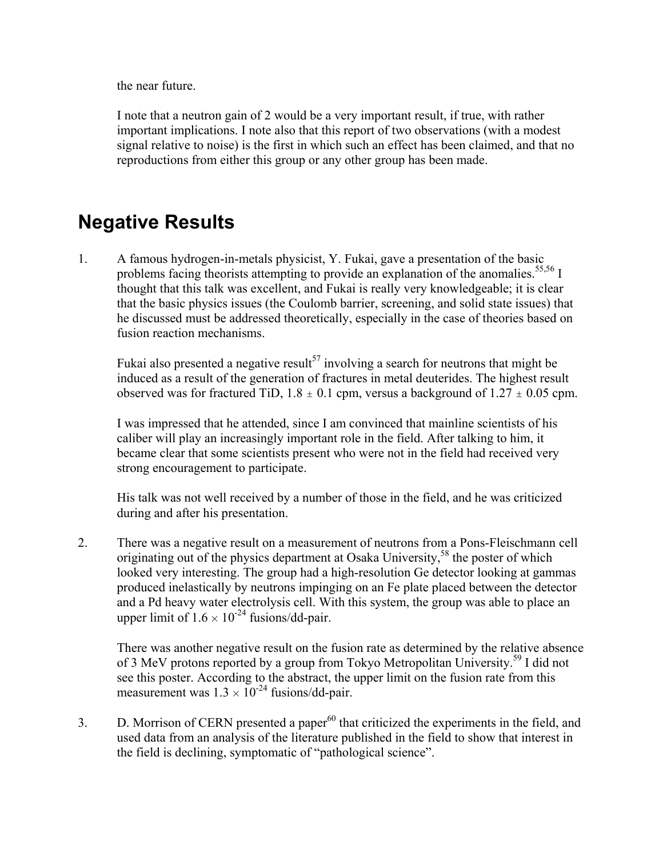the near future.

I note that a neutron gain of 2 would be a very important result, if true, with rather important implications. I note also that this report of two observations (with a modest signal relative to noise) is the first in which such an effect has been claimed, and that no reproductions from either this group or any other group has been made.

# **Negative Results**

1. A famous hydrogen-in-metals physicist, Y. Fukai, gave a presentation of the basic problems facing theorists attempting to provide an explanation of the anomalies.<sup>55,56</sup> I thought that this talk was excellent, and Fukai is really very knowledgeable; it is clear that the basic physics issues (the Coulomb barrier, screening, and solid state issues) that he discussed must be addressed theoretically, especially in the case of theories based on fusion reaction mechanisms.

Fukai also presented a negative result<sup>57</sup> involving a search for neutrons that might be induced as a result of the generation of fractures in metal deuterides. The highest result observed was for fractured TiD,  $1.8 \pm 0.1$  cpm, versus a background of  $1.27 \pm 0.05$  cpm.

I was impressed that he attended, since I am convinced that mainline scientists of his caliber will play an increasingly important role in the field. After talking to him, it became clear that some scientists present who were not in the field had received very strong encouragement to participate.

His talk was not well received by a number of those in the field, and he was criticized during and after his presentation.

2. There was a negative result on a measurement of neutrons from a Pons-Fleischmann cell originating out of the physics department at Osaka University,<sup>58</sup> the poster of which looked very interesting. The group had a high-resolution Ge detector looking at gammas produced inelastically by neutrons impinging on an Fe plate placed between the detector and a Pd heavy water electrolysis cell. With this system, the group was able to place an upper limit of  $1.6 \times 10^{-24}$  fusions/dd-pair.

There was another negative result on the fusion rate as determined by the relative absence of 3 MeV protons reported by a group from Tokyo Metropolitan University.<sup>59</sup> I did not see this poster. According to the abstract, the upper limit on the fusion rate from this measurement was  $1.3 \times 10^{-24}$  fusions/dd-pair.

3. D. Morrison of CERN presented a paper $^{60}$  that criticized the experiments in the field, and used data from an analysis of the literature published in the field to show that interest in the field is declining, symptomatic of "pathological science".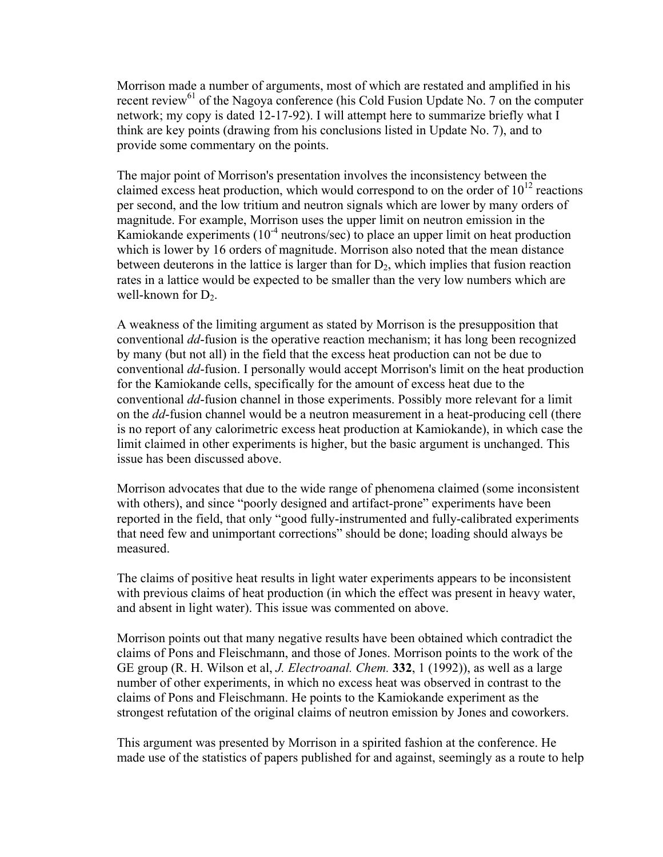Morrison made a number of arguments, most of which are restated and amplified in his recent review<sup>61</sup> of the Nagoya conference (his Cold Fusion Update No. 7 on the computer network; my copy is dated 12-17-92). I will attempt here to summarize briefly what I think are key points (drawing from his conclusions listed in Update No. 7), and to provide some commentary on the points.

The major point of Morrison's presentation involves the inconsistency between the claimed excess heat production, which would correspond to on the order of  $10^{12}$  reactions per second, and the low tritium and neutron signals which are lower by many orders of magnitude. For example, Morrison uses the upper limit on neutron emission in the Kamiokande experiments  $(10^{-4}$  neutrons/sec) to place an upper limit on heat production which is lower by 16 orders of magnitude. Morrison also noted that the mean distance between deuterons in the lattice is larger than for  $D_2$ , which implies that fusion reaction rates in a lattice would be expected to be smaller than the very low numbers which are well-known for  $D_2$ .

A weakness of the limiting argument as stated by Morrison is the presupposition that conventional *dd*-fusion is the operative reaction mechanism; it has long been recognized by many (but not all) in the field that the excess heat production can not be due to conventional *dd*-fusion. I personally would accept Morrison's limit on the heat production for the Kamiokande cells, specifically for the amount of excess heat due to the conventional *dd*-fusion channel in those experiments. Possibly more relevant for a limit on the *dd*-fusion channel would be a neutron measurement in a heat-producing cell (there is no report of any calorimetric excess heat production at Kamiokande), in which case the limit claimed in other experiments is higher, but the basic argument is unchanged. This issue has been discussed above.

Morrison advocates that due to the wide range of phenomena claimed (some inconsistent with others), and since "poorly designed and artifact-prone" experiments have been reported in the field, that only "good fully-instrumented and fully-calibrated experiments that need few and unimportant corrections" should be done; loading should always be measured.

The claims of positive heat results in light water experiments appears to be inconsistent with previous claims of heat production (in which the effect was present in heavy water, and absent in light water). This issue was commented on above.

Morrison points out that many negative results have been obtained which contradict the claims of Pons and Fleischmann, and those of Jones. Morrison points to the work of the GE group (R. H. Wilson et al, *J. Electroanal. Chem.* **332**, 1 (1992)), as well as a large number of other experiments, in which no excess heat was observed in contrast to the claims of Pons and Fleischmann. He points to the Kamiokande experiment as the strongest refutation of the original claims of neutron emission by Jones and coworkers.

This argument was presented by Morrison in a spirited fashion at the conference. He made use of the statistics of papers published for and against, seemingly as a route to help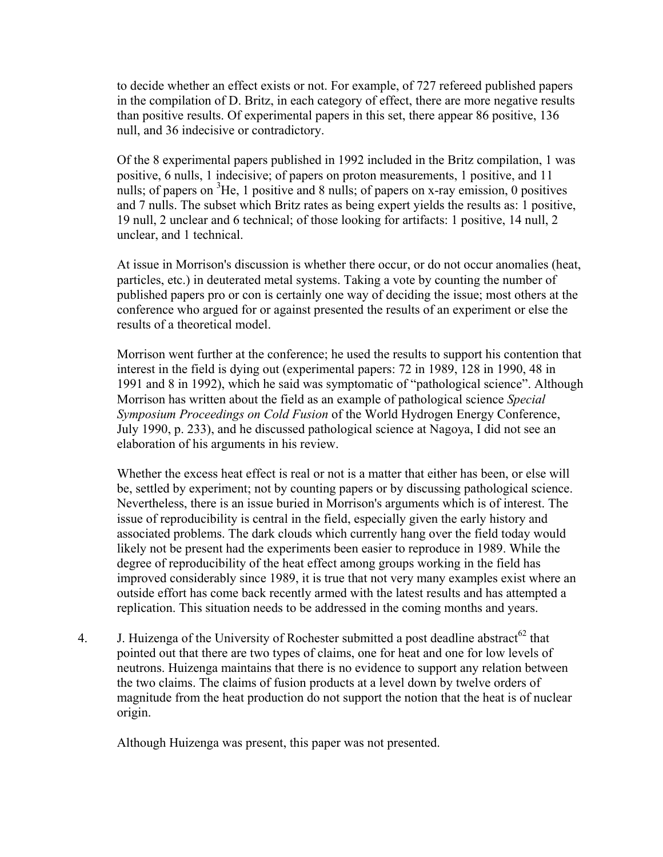to decide whether an effect exists or not. For example, of 727 refereed published papers in the compilation of D. Britz, in each category of effect, there are more negative results than positive results. Of experimental papers in this set, there appear 86 positive, 136 null, and 36 indecisive or contradictory.

Of the 8 experimental papers published in 1992 included in the Britz compilation, 1 was positive, 6 nulls, 1 indecisive; of papers on proton measurements, 1 positive, and 11 nulls; of papers on  ${}^{3}$ He, 1 positive and 8 nulls; of papers on x-ray emission, 0 positives and 7 nulls. The subset which Britz rates as being expert yields the results as: 1 positive, 19 null, 2 unclear and 6 technical; of those looking for artifacts: 1 positive, 14 null, 2 unclear, and 1 technical.

At issue in Morrison's discussion is whether there occur, or do not occur anomalies (heat, particles, etc.) in deuterated metal systems. Taking a vote by counting the number of published papers pro or con is certainly one way of deciding the issue; most others at the conference who argued for or against presented the results of an experiment or else the results of a theoretical model.

Morrison went further at the conference; he used the results to support his contention that interest in the field is dying out (experimental papers: 72 in 1989, 128 in 1990, 48 in 1991 and 8 in 1992), which he said was symptomatic of "pathological science". Although Morrison has written about the field as an example of pathological science *Special Symposium Proceedings on Cold Fusion* of the World Hydrogen Energy Conference, July 1990, p. 233), and he discussed pathological science at Nagoya, I did not see an elaboration of his arguments in his review.

Whether the excess heat effect is real or not is a matter that either has been, or else will be, settled by experiment; not by counting papers or by discussing pathological science. Nevertheless, there is an issue buried in Morrison's arguments which is of interest. The issue of reproducibility is central in the field, especially given the early history and associated problems. The dark clouds which currently hang over the field today would likely not be present had the experiments been easier to reproduce in 1989. While the degree of reproducibility of the heat effect among groups working in the field has improved considerably since 1989, it is true that not very many examples exist where an outside effort has come back recently armed with the latest results and has attempted a replication. This situation needs to be addressed in the coming months and years.

4. J. Huizenga of the University of Rochester submitted a post deadline abstract<sup>62</sup> that pointed out that there are two types of claims, one for heat and one for low levels of neutrons. Huizenga maintains that there is no evidence to support any relation between the two claims. The claims of fusion products at a level down by twelve orders of magnitude from the heat production do not support the notion that the heat is of nuclear origin.

Although Huizenga was present, this paper was not presented.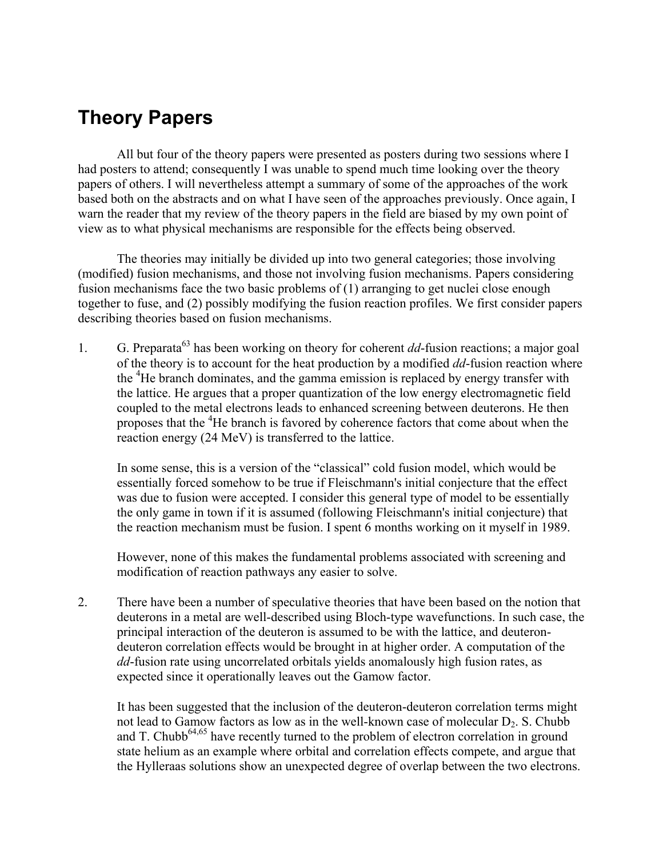## **Theory Papers**

All but four of the theory papers were presented as posters during two sessions where I had posters to attend; consequently I was unable to spend much time looking over the theory papers of others. I will nevertheless attempt a summary of some of the approaches of the work based both on the abstracts and on what I have seen of the approaches previously. Once again, I warn the reader that my review of the theory papers in the field are biased by my own point of view as to what physical mechanisms are responsible for the effects being observed.

 The theories may initially be divided up into two general categories; those involving (modified) fusion mechanisms, and those not involving fusion mechanisms. Papers considering fusion mechanisms face the two basic problems of (1) arranging to get nuclei close enough together to fuse, and (2) possibly modifying the fusion reaction profiles. We first consider papers describing theories based on fusion mechanisms.

1. G. Preparata63 has been working on theory for coherent *dd*-fusion reactions; a major goal of the theory is to account for the heat production by a modified *dd*-fusion reaction where the <sup>4</sup>He branch dominates, and the gamma emission is replaced by energy transfer with the lattice. He argues that a proper quantization of the low energy electromagnetic field coupled to the metal electrons leads to enhanced screening between deuterons. He then proposes that the <sup>4</sup>He branch is favored by coherence factors that come about when the reaction energy (24 MeV) is transferred to the lattice.

In some sense, this is a version of the "classical" cold fusion model, which would be essentially forced somehow to be true if Fleischmann's initial conjecture that the effect was due to fusion were accepted. I consider this general type of model to be essentially the only game in town if it is assumed (following Fleischmann's initial conjecture) that the reaction mechanism must be fusion. I spent 6 months working on it myself in 1989.

However, none of this makes the fundamental problems associated with screening and modification of reaction pathways any easier to solve.

2. There have been a number of speculative theories that have been based on the notion that deuterons in a metal are well-described using Bloch-type wavefunctions. In such case, the principal interaction of the deuteron is assumed to be with the lattice, and deuterondeuteron correlation effects would be brought in at higher order. A computation of the *dd*-fusion rate using uncorrelated orbitals yields anomalously high fusion rates, as expected since it operationally leaves out the Gamow factor.

It has been suggested that the inclusion of the deuteron-deuteron correlation terms might not lead to Gamow factors as low as in the well-known case of molecular  $D_2$ . S. Chubb and T. Chubb<sup>64,65</sup> have recently turned to the problem of electron correlation in ground state helium as an example where orbital and correlation effects compete, and argue that the Hylleraas solutions show an unexpected degree of overlap between the two electrons.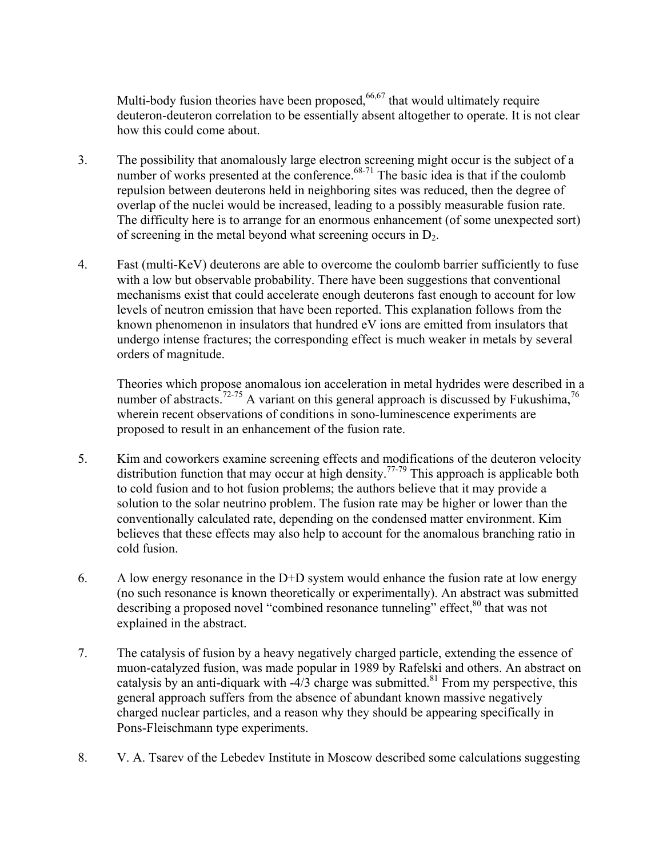Multi-body fusion theories have been proposed,  $66,67$  that would ultimately require deuteron-deuteron correlation to be essentially absent altogether to operate. It is not clear how this could come about.

- 3. The possibility that anomalously large electron screening might occur is the subject of a number of works presented at the conference. $68-71$  The basic idea is that if the coulomb repulsion between deuterons held in neighboring sites was reduced, then the degree of overlap of the nuclei would be increased, leading to a possibly measurable fusion rate. The difficulty here is to arrange for an enormous enhancement (of some unexpected sort) of screening in the metal beyond what screening occurs in  $D_2$ .
- 4. Fast (multi-KeV) deuterons are able to overcome the coulomb barrier sufficiently to fuse with a low but observable probability. There have been suggestions that conventional mechanisms exist that could accelerate enough deuterons fast enough to account for low levels of neutron emission that have been reported. This explanation follows from the known phenomenon in insulators that hundred eV ions are emitted from insulators that undergo intense fractures; the corresponding effect is much weaker in metals by several orders of magnitude.

Theories which propose anomalous ion acceleration in metal hydrides were described in a number of abstracts.<sup>72-75</sup> A variant on this general approach is discussed by Fukushima,<sup>76</sup> wherein recent observations of conditions in sono-luminescence experiments are proposed to result in an enhancement of the fusion rate.

- 5. Kim and coworkers examine screening effects and modifications of the deuteron velocity distribution function that may occur at high density.<sup>77-79</sup> This approach is applicable both to cold fusion and to hot fusion problems; the authors believe that it may provide a solution to the solar neutrino problem. The fusion rate may be higher or lower than the conventionally calculated rate, depending on the condensed matter environment. Kim believes that these effects may also help to account for the anomalous branching ratio in cold fusion.
- 6. A low energy resonance in the D+D system would enhance the fusion rate at low energy (no such resonance is known theoretically or experimentally). An abstract was submitted describing a proposed novel "combined resonance tunneling" effect, <sup>80</sup> that was not explained in the abstract.
- 7. The catalysis of fusion by a heavy negatively charged particle, extending the essence of muon-catalyzed fusion, was made popular in 1989 by Rafelski and others. An abstract on catalysis by an anti-diquark with  $-4/3$  charge was submitted.<sup>81</sup> From my perspective, this general approach suffers from the absence of abundant known massive negatively charged nuclear particles, and a reason why they should be appearing specifically in Pons-Fleischmann type experiments.
- 8. V. A. Tsarev of the Lebedev Institute in Moscow described some calculations suggesting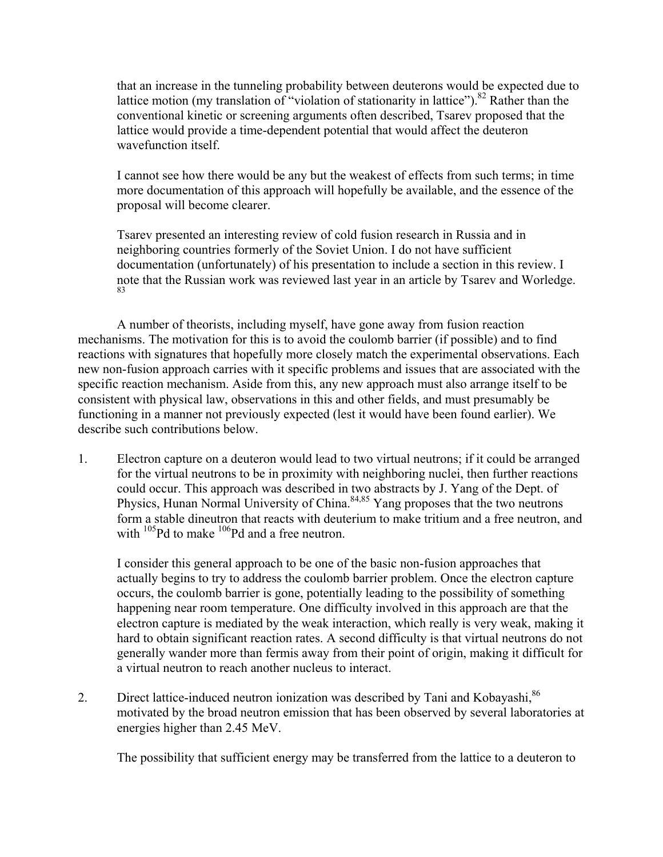that an increase in the tunneling probability between deuterons would be expected due to lattice motion (my translation of "violation of stationarity in lattice").<sup>82</sup> Rather than the conventional kinetic or screening arguments often described, Tsarev proposed that the lattice would provide a time-dependent potential that would affect the deuteron wavefunction itself.

I cannot see how there would be any but the weakest of effects from such terms; in time more documentation of this approach will hopefully be available, and the essence of the proposal will become clearer.

Tsarev presented an interesting review of cold fusion research in Russia and in neighboring countries formerly of the Soviet Union. I do not have sufficient documentation (unfortunately) of his presentation to include a section in this review. I note that the Russian work was reviewed last year in an article by Tsarev and Worledge. 83

A number of theorists, including myself, have gone away from fusion reaction mechanisms. The motivation for this is to avoid the coulomb barrier (if possible) and to find reactions with signatures that hopefully more closely match the experimental observations. Each new non-fusion approach carries with it specific problems and issues that are associated with the specific reaction mechanism. Aside from this, any new approach must also arrange itself to be consistent with physical law, observations in this and other fields, and must presumably be functioning in a manner not previously expected (lest it would have been found earlier). We describe such contributions below.

1. Electron capture on a deuteron would lead to two virtual neutrons; if it could be arranged for the virtual neutrons to be in proximity with neighboring nuclei, then further reactions could occur. This approach was described in two abstracts by J. Yang of the Dept. of Physics, Hunan Normal University of China.<sup>84,85</sup> Yang proposes that the two neutrons form a stable dineutron that reacts with deuterium to make tritium and a free neutron, and with  $105$ Pd to make  $106$ Pd and a free neutron.

I consider this general approach to be one of the basic non-fusion approaches that actually begins to try to address the coulomb barrier problem. Once the electron capture occurs, the coulomb barrier is gone, potentially leading to the possibility of something happening near room temperature. One difficulty involved in this approach are that the electron capture is mediated by the weak interaction, which really is very weak, making it hard to obtain significant reaction rates. A second difficulty is that virtual neutrons do not generally wander more than fermis away from their point of origin, making it difficult for a virtual neutron to reach another nucleus to interact.

2. Direct lattice-induced neutron ionization was described by Tani and Kobayashi,<sup>86</sup> motivated by the broad neutron emission that has been observed by several laboratories at energies higher than 2.45 MeV.

The possibility that sufficient energy may be transferred from the lattice to a deuteron to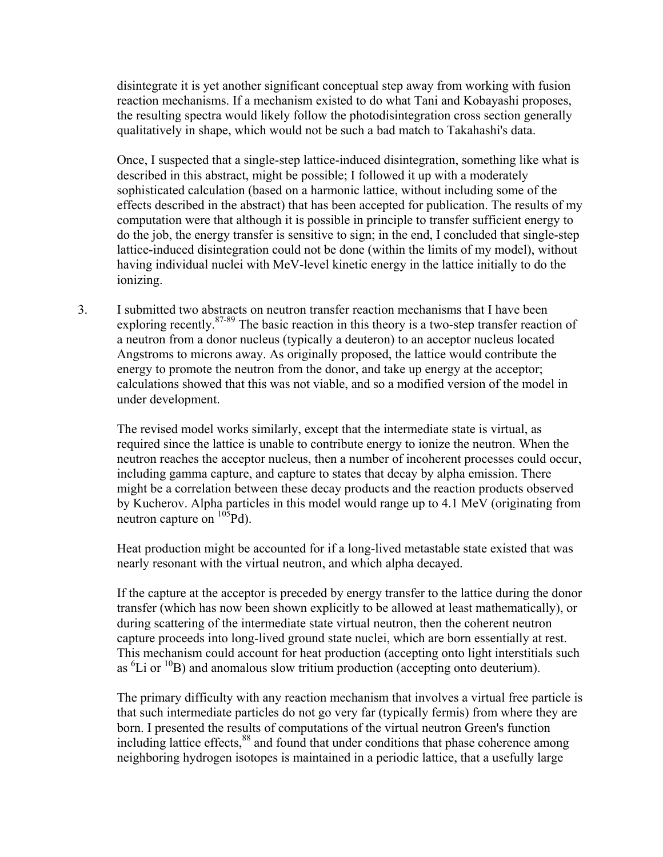disintegrate it is yet another significant conceptual step away from working with fusion reaction mechanisms. If a mechanism existed to do what Tani and Kobayashi proposes, the resulting spectra would likely follow the photodisintegration cross section generally qualitatively in shape, which would not be such a bad match to Takahashi's data.

Once, I suspected that a single-step lattice-induced disintegration, something like what is described in this abstract, might be possible; I followed it up with a moderately sophisticated calculation (based on a harmonic lattice, without including some of the effects described in the abstract) that has been accepted for publication. The results of my computation were that although it is possible in principle to transfer sufficient energy to do the job, the energy transfer is sensitive to sign; in the end, I concluded that single-step lattice-induced disintegration could not be done (within the limits of my model), without having individual nuclei with MeV-level kinetic energy in the lattice initially to do the ionizing.

3. I submitted two abstracts on neutron transfer reaction mechanisms that I have been exploring recently.<sup>87-89</sup> The basic reaction in this theory is a two-step transfer reaction of a neutron from a donor nucleus (typically a deuteron) to an acceptor nucleus located Angstroms to microns away. As originally proposed, the lattice would contribute the energy to promote the neutron from the donor, and take up energy at the acceptor; calculations showed that this was not viable, and so a modified version of the model in under development.

The revised model works similarly, except that the intermediate state is virtual, as required since the lattice is unable to contribute energy to ionize the neutron. When the neutron reaches the acceptor nucleus, then a number of incoherent processes could occur, including gamma capture, and capture to states that decay by alpha emission. There might be a correlation between these decay products and the reaction products observed by Kucherov. Alpha particles in this model would range up to 4.1 MeV (originating from neutron capture on <sup>105</sup>Pd).

Heat production might be accounted for if a long-lived metastable state existed that was nearly resonant with the virtual neutron, and which alpha decayed.

If the capture at the acceptor is preceded by energy transfer to the lattice during the donor transfer (which has now been shown explicitly to be allowed at least mathematically), or during scattering of the intermediate state virtual neutron, then the coherent neutron capture proceeds into long-lived ground state nuclei, which are born essentially at rest. This mechanism could account for heat production (accepting onto light interstitials such as  ${}^{6}$ Li or  ${}^{10}$ B) and anomalous slow tritium production (accepting onto deuterium).

The primary difficulty with any reaction mechanism that involves a virtual free particle is that such intermediate particles do not go very far (typically fermis) from where they are born. I presented the results of computations of the virtual neutron Green's function including lattice effects,<sup>88</sup> and found that under conditions that phase coherence among neighboring hydrogen isotopes is maintained in a periodic lattice, that a usefully large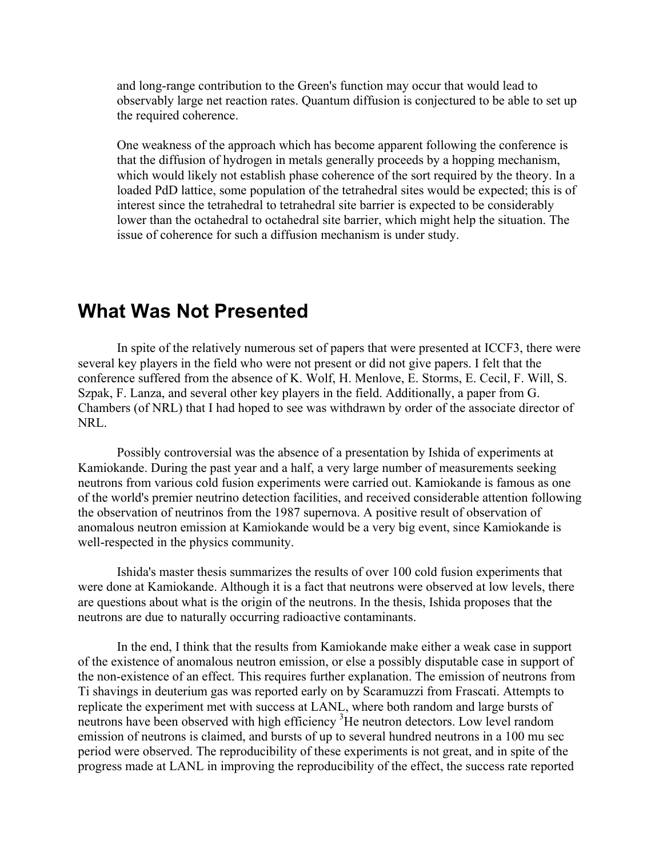and long-range contribution to the Green's function may occur that would lead to observably large net reaction rates. Quantum diffusion is conjectured to be able to set up the required coherence.

One weakness of the approach which has become apparent following the conference is that the diffusion of hydrogen in metals generally proceeds by a hopping mechanism, which would likely not establish phase coherence of the sort required by the theory. In a loaded PdD lattice, some population of the tetrahedral sites would be expected; this is of interest since the tetrahedral to tetrahedral site barrier is expected to be considerably lower than the octahedral to octahedral site barrier, which might help the situation. The issue of coherence for such a diffusion mechanism is under study.

## **What Was Not Presented**

 In spite of the relatively numerous set of papers that were presented at ICCF3, there were several key players in the field who were not present or did not give papers. I felt that the conference suffered from the absence of K. Wolf, H. Menlove, E. Storms, E. Cecil, F. Will, S. Szpak, F. Lanza, and several other key players in the field. Additionally, a paper from G. Chambers (of NRL) that I had hoped to see was withdrawn by order of the associate director of NRL.

 Possibly controversial was the absence of a presentation by Ishida of experiments at Kamiokande. During the past year and a half, a very large number of measurements seeking neutrons from various cold fusion experiments were carried out. Kamiokande is famous as one of the world's premier neutrino detection facilities, and received considerable attention following the observation of neutrinos from the 1987 supernova. A positive result of observation of anomalous neutron emission at Kamiokande would be a very big event, since Kamiokande is well-respected in the physics community.

Ishida's master thesis summarizes the results of over 100 cold fusion experiments that were done at Kamiokande. Although it is a fact that neutrons were observed at low levels, there are questions about what is the origin of the neutrons. In the thesis, Ishida proposes that the neutrons are due to naturally occurring radioactive contaminants.

In the end, I think that the results from Kamiokande make either a weak case in support of the existence of anomalous neutron emission, or else a possibly disputable case in support of the non-existence of an effect. This requires further explanation. The emission of neutrons from Ti shavings in deuterium gas was reported early on by Scaramuzzi from Frascati. Attempts to replicate the experiment met with success at LANL, where both random and large bursts of neutrons have been observed with high efficiency <sup>3</sup>He neutron detectors. Low level random emission of neutrons is claimed, and bursts of up to several hundred neutrons in a 100 mu sec period were observed. The reproducibility of these experiments is not great, and in spite of the progress made at LANL in improving the reproducibility of the effect, the success rate reported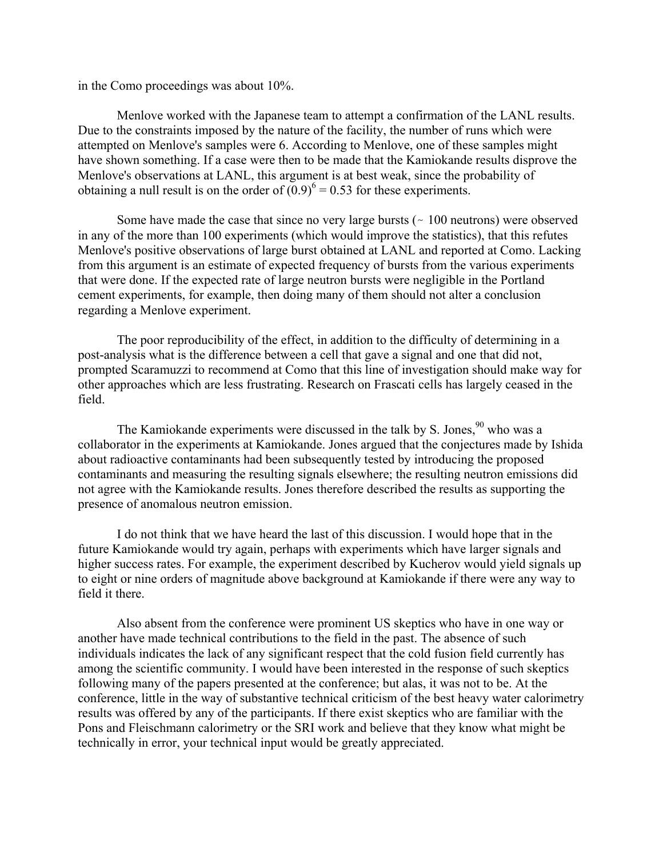in the Como proceedings was about 10%.

Menlove worked with the Japanese team to attempt a confirmation of the LANL results. Due to the constraints imposed by the nature of the facility, the number of runs which were attempted on Menlove's samples were 6. According to Menlove, one of these samples might have shown something. If a case were then to be made that the Kamiokande results disprove the Menlove's observations at LANL, this argument is at best weak, since the probability of obtaining a null result is on the order of  $(0.9)^6$  = 0.53 for these experiments.

Some have made the case that since no very large bursts  $($   $\sim$  100 neutrons) were observed in any of the more than 100 experiments (which would improve the statistics), that this refutes Menlove's positive observations of large burst obtained at LANL and reported at Como. Lacking from this argument is an estimate of expected frequency of bursts from the various experiments that were done. If the expected rate of large neutron bursts were negligible in the Portland cement experiments, for example, then doing many of them should not alter a conclusion regarding a Menlove experiment.

 The poor reproducibility of the effect, in addition to the difficulty of determining in a post-analysis what is the difference between a cell that gave a signal and one that did not, prompted Scaramuzzi to recommend at Como that this line of investigation should make way for other approaches which are less frustrating. Research on Frascati cells has largely ceased in the field.

The Kamiokande experiments were discussed in the talk by S. Jones,  $90$  who was a collaborator in the experiments at Kamiokande. Jones argued that the conjectures made by Ishida about radioactive contaminants had been subsequently tested by introducing the proposed contaminants and measuring the resulting signals elsewhere; the resulting neutron emissions did not agree with the Kamiokande results. Jones therefore described the results as supporting the presence of anomalous neutron emission.

I do not think that we have heard the last of this discussion. I would hope that in the future Kamiokande would try again, perhaps with experiments which have larger signals and higher success rates. For example, the experiment described by Kucherov would yield signals up to eight or nine orders of magnitude above background at Kamiokande if there were any way to field it there.

Also absent from the conference were prominent US skeptics who have in one way or another have made technical contributions to the field in the past. The absence of such individuals indicates the lack of any significant respect that the cold fusion field currently has among the scientific community. I would have been interested in the response of such skeptics following many of the papers presented at the conference; but alas, it was not to be. At the conference, little in the way of substantive technical criticism of the best heavy water calorimetry results was offered by any of the participants. If there exist skeptics who are familiar with the Pons and Fleischmann calorimetry or the SRI work and believe that they know what might be technically in error, your technical input would be greatly appreciated.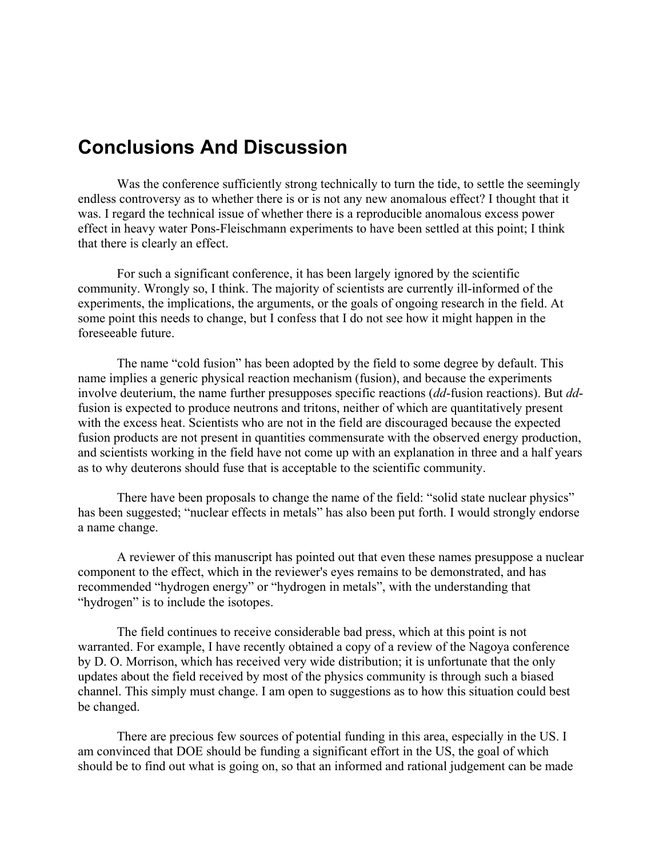#### **Conclusions And Discussion**

Was the conference sufficiently strong technically to turn the tide, to settle the seemingly endless controversy as to whether there is or is not any new anomalous effect? I thought that it was. I regard the technical issue of whether there is a reproducible anomalous excess power effect in heavy water Pons-Fleischmann experiments to have been settled at this point; I think that there is clearly an effect.

For such a significant conference, it has been largely ignored by the scientific community. Wrongly so, I think. The majority of scientists are currently ill-informed of the experiments, the implications, the arguments, or the goals of ongoing research in the field. At some point this needs to change, but I confess that I do not see how it might happen in the foreseeable future.

The name "cold fusion" has been adopted by the field to some degree by default. This name implies a generic physical reaction mechanism (fusion), and because the experiments involve deuterium, the name further presupposes specific reactions (*dd*-fusion reactions). But *dd*fusion is expected to produce neutrons and tritons, neither of which are quantitatively present with the excess heat. Scientists who are not in the field are discouraged because the expected fusion products are not present in quantities commensurate with the observed energy production, and scientists working in the field have not come up with an explanation in three and a half years as to why deuterons should fuse that is acceptable to the scientific community.

There have been proposals to change the name of the field: "solid state nuclear physics" has been suggested; "nuclear effects in metals" has also been put forth. I would strongly endorse a name change.

A reviewer of this manuscript has pointed out that even these names presuppose a nuclear component to the effect, which in the reviewer's eyes remains to be demonstrated, and has recommended "hydrogen energy" or "hydrogen in metals", with the understanding that "hydrogen" is to include the isotopes.

The field continues to receive considerable bad press, which at this point is not warranted. For example, I have recently obtained a copy of a review of the Nagoya conference by D. O. Morrison, which has received very wide distribution; it is unfortunate that the only updates about the field received by most of the physics community is through such a biased channel. This simply must change. I am open to suggestions as to how this situation could best be changed.

 There are precious few sources of potential funding in this area, especially in the US. I am convinced that DOE should be funding a significant effort in the US, the goal of which should be to find out what is going on, so that an informed and rational judgement can be made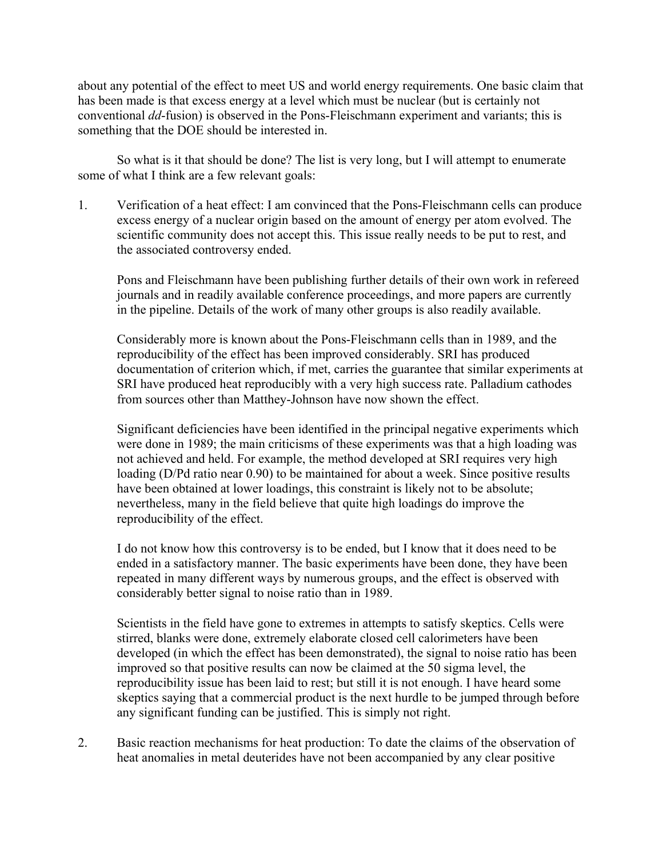about any potential of the effect to meet US and world energy requirements. One basic claim that has been made is that excess energy at a level which must be nuclear (but is certainly not conventional *dd*-fusion) is observed in the Pons-Fleischmann experiment and variants; this is something that the DOE should be interested in.

So what is it that should be done? The list is very long, but I will attempt to enumerate some of what I think are a few relevant goals:

1. Verification of a heat effect: I am convinced that the Pons-Fleischmann cells can produce excess energy of a nuclear origin based on the amount of energy per atom evolved. The scientific community does not accept this. This issue really needs to be put to rest, and the associated controversy ended.

Pons and Fleischmann have been publishing further details of their own work in refereed journals and in readily available conference proceedings, and more papers are currently in the pipeline. Details of the work of many other groups is also readily available.

Considerably more is known about the Pons-Fleischmann cells than in 1989, and the reproducibility of the effect has been improved considerably. SRI has produced documentation of criterion which, if met, carries the guarantee that similar experiments at SRI have produced heat reproducibly with a very high success rate. Palladium cathodes from sources other than Matthey-Johnson have now shown the effect.

Significant deficiencies have been identified in the principal negative experiments which were done in 1989; the main criticisms of these experiments was that a high loading was not achieved and held. For example, the method developed at SRI requires very high loading (D/Pd ratio near 0.90) to be maintained for about a week. Since positive results have been obtained at lower loadings, this constraint is likely not to be absolute; nevertheless, many in the field believe that quite high loadings do improve the reproducibility of the effect.

I do not know how this controversy is to be ended, but I know that it does need to be ended in a satisfactory manner. The basic experiments have been done, they have been repeated in many different ways by numerous groups, and the effect is observed with considerably better signal to noise ratio than in 1989.

Scientists in the field have gone to extremes in attempts to satisfy skeptics. Cells were stirred, blanks were done, extremely elaborate closed cell calorimeters have been developed (in which the effect has been demonstrated), the signal to noise ratio has been improved so that positive results can now be claimed at the 50 sigma level, the reproducibility issue has been laid to rest; but still it is not enough. I have heard some skeptics saying that a commercial product is the next hurdle to be jumped through before any significant funding can be justified. This is simply not right.

2. Basic reaction mechanisms for heat production: To date the claims of the observation of heat anomalies in metal deuterides have not been accompanied by any clear positive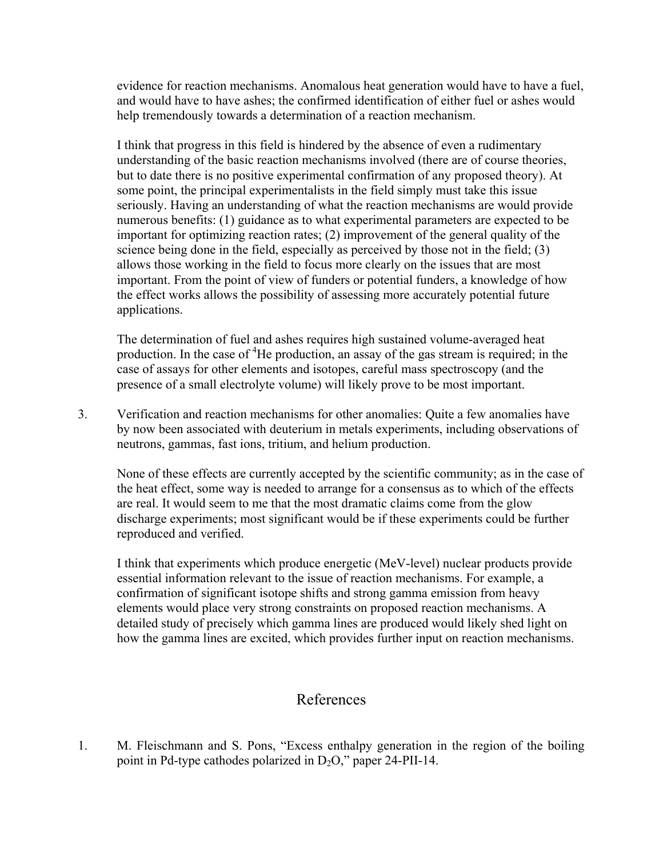evidence for reaction mechanisms. Anomalous heat generation would have to have a fuel, and would have to have ashes; the confirmed identification of either fuel or ashes would help tremendously towards a determination of a reaction mechanism.

I think that progress in this field is hindered by the absence of even a rudimentary understanding of the basic reaction mechanisms involved (there are of course theories, but to date there is no positive experimental confirmation of any proposed theory). At some point, the principal experimentalists in the field simply must take this issue seriously. Having an understanding of what the reaction mechanisms are would provide numerous benefits: (1) guidance as to what experimental parameters are expected to be important for optimizing reaction rates; (2) improvement of the general quality of the science being done in the field, especially as perceived by those not in the field; (3) allows those working in the field to focus more clearly on the issues that are most important. From the point of view of funders or potential funders, a knowledge of how the effect works allows the possibility of assessing more accurately potential future applications.

The determination of fuel and ashes requires high sustained volume-averaged heat production. In the case of <sup>4</sup>He production, an assay of the gas stream is required; in the case of assays for other elements and isotopes, careful mass spectroscopy (and the presence of a small electrolyte volume) will likely prove to be most important.

3. Verification and reaction mechanisms for other anomalies: Quite a few anomalies have by now been associated with deuterium in metals experiments, including observations of neutrons, gammas, fast ions, tritium, and helium production.

None of these effects are currently accepted by the scientific community; as in the case of the heat effect, some way is needed to arrange for a consensus as to which of the effects are real. It would seem to me that the most dramatic claims come from the glow discharge experiments; most significant would be if these experiments could be further reproduced and verified.

I think that experiments which produce energetic (MeV-level) nuclear products provide essential information relevant to the issue of reaction mechanisms. For example, a confirmation of significant isotope shifts and strong gamma emission from heavy elements would place very strong constraints on proposed reaction mechanisms. A detailed study of precisely which gamma lines are produced would likely shed light on how the gamma lines are excited, which provides further input on reaction mechanisms.

#### References

1. M. Fleischmann and S. Pons, "Excess enthalpy generation in the region of the boiling point in Pd-type cathodes polarized in  $D_2O$ ," paper 24-PII-14.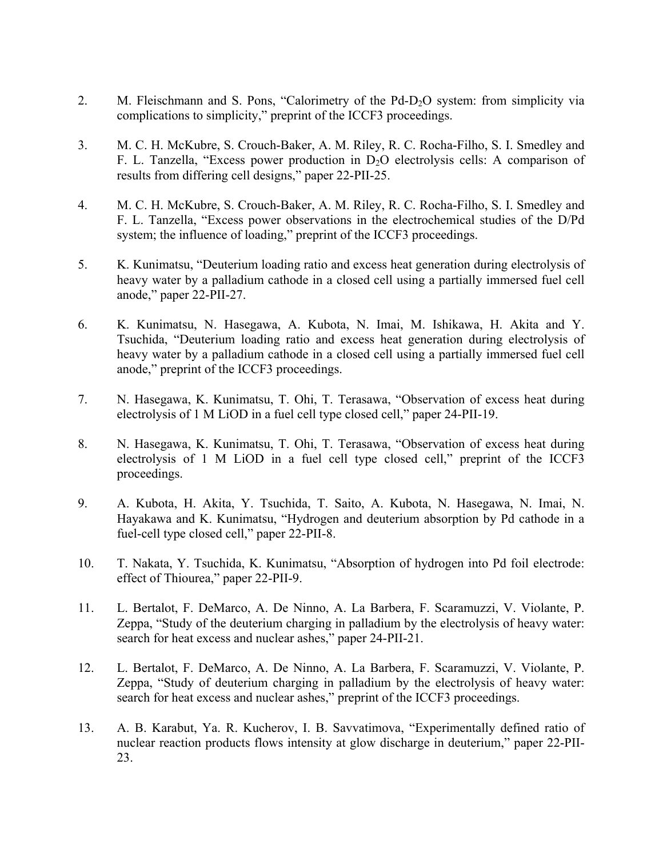- 2. M. Fleischmann and S. Pons, "Calorimetry of the Pd-D<sub>2</sub>O system: from simplicity via complications to simplicity," preprint of the ICCF3 proceedings.
- 3. M. C. H. McKubre, S. Crouch-Baker, A. M. Riley, R. C. Rocha-Filho, S. I. Smedley and F. L. Tanzella, "Excess power production in  $D_2O$  electrolysis cells: A comparison of results from differing cell designs," paper 22-PII-25.
- 4. M. C. H. McKubre, S. Crouch-Baker, A. M. Riley, R. C. Rocha-Filho, S. I. Smedley and F. L. Tanzella, "Excess power observations in the electrochemical studies of the D/Pd system; the influence of loading," preprint of the ICCF3 proceedings.
- 5. K. Kunimatsu, "Deuterium loading ratio and excess heat generation during electrolysis of heavy water by a palladium cathode in a closed cell using a partially immersed fuel cell anode," paper 22-PII-27.
- 6. K. Kunimatsu, N. Hasegawa, A. Kubota, N. Imai, M. Ishikawa, H. Akita and Y. Tsuchida, "Deuterium loading ratio and excess heat generation during electrolysis of heavy water by a palladium cathode in a closed cell using a partially immersed fuel cell anode," preprint of the ICCF3 proceedings.
- 7. N. Hasegawa, K. Kunimatsu, T. Ohi, T. Terasawa, "Observation of excess heat during electrolysis of 1 M LiOD in a fuel cell type closed cell," paper 24-PII-19.
- 8. N. Hasegawa, K. Kunimatsu, T. Ohi, T. Terasawa, "Observation of excess heat during electrolysis of 1 M LiOD in a fuel cell type closed cell," preprint of the ICCF3 proceedings.
- 9. A. Kubota, H. Akita, Y. Tsuchida, T. Saito, A. Kubota, N. Hasegawa, N. Imai, N. Hayakawa and K. Kunimatsu, "Hydrogen and deuterium absorption by Pd cathode in a fuel-cell type closed cell," paper 22-PII-8.
- 10. T. Nakata, Y. Tsuchida, K. Kunimatsu, "Absorption of hydrogen into Pd foil electrode: effect of Thiourea," paper 22-PII-9.
- 11. L. Bertalot, F. DeMarco, A. De Ninno, A. La Barbera, F. Scaramuzzi, V. Violante, P. Zeppa, "Study of the deuterium charging in palladium by the electrolysis of heavy water: search for heat excess and nuclear ashes," paper 24-PII-21.
- 12. L. Bertalot, F. DeMarco, A. De Ninno, A. La Barbera, F. Scaramuzzi, V. Violante, P. Zeppa, "Study of deuterium charging in palladium by the electrolysis of heavy water: search for heat excess and nuclear ashes," preprint of the ICCF3 proceedings.
- 13. A. B. Karabut, Ya. R. Kucherov, I. B. Savvatimova, "Experimentally defined ratio of nuclear reaction products flows intensity at glow discharge in deuterium," paper 22-PII-23.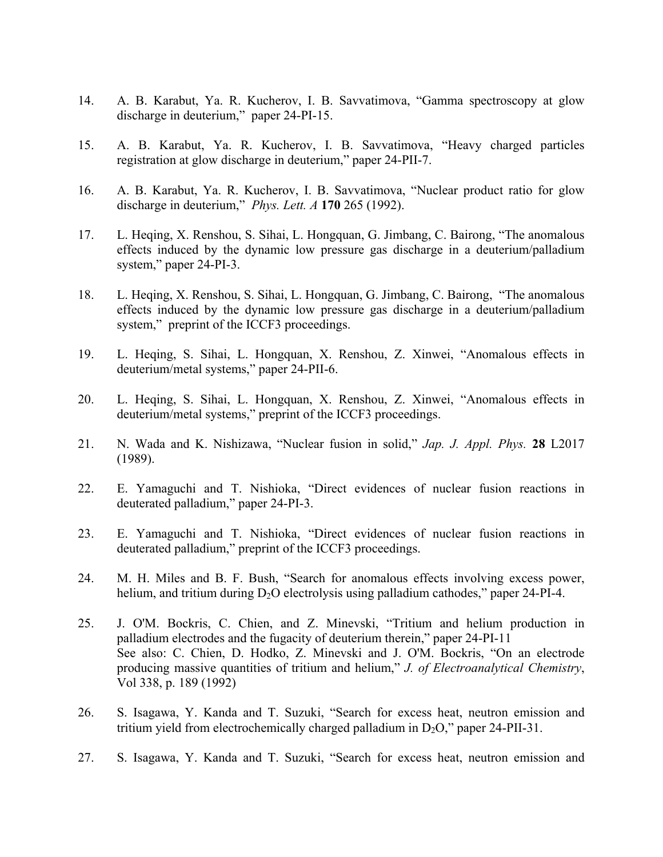- 14. A. B. Karabut, Ya. R. Kucherov, I. B. Savvatimova, "Gamma spectroscopy at glow discharge in deuterium," paper 24-PI-15.
- 15. A. B. Karabut, Ya. R. Kucherov, I. B. Savvatimova, "Heavy charged particles registration at glow discharge in deuterium," paper 24-PII-7.
- 16. A. B. Karabut, Ya. R. Kucherov, I. B. Savvatimova, "Nuclear product ratio for glow discharge in deuterium," *Phys. Lett. A* **170** 265 (1992).
- 17. L. Heqing, X. Renshou, S. Sihai, L. Hongquan, G. Jimbang, C. Bairong, "The anomalous effects induced by the dynamic low pressure gas discharge in a deuterium/palladium system," paper 24-PI-3.
- 18. L. Heqing, X. Renshou, S. Sihai, L. Hongquan, G. Jimbang, C. Bairong, "The anomalous effects induced by the dynamic low pressure gas discharge in a deuterium/palladium system," preprint of the ICCF3 proceedings.
- 19. L. Heqing, S. Sihai, L. Hongquan, X. Renshou, Z. Xinwei, "Anomalous effects in deuterium/metal systems," paper 24-PII-6.
- 20. L. Heqing, S. Sihai, L. Hongquan, X. Renshou, Z. Xinwei, "Anomalous effects in deuterium/metal systems," preprint of the ICCF3 proceedings.
- 21. N. Wada and K. Nishizawa, "Nuclear fusion in solid," *Jap. J. Appl. Phys.* **28** L2017 (1989).
- 22. E. Yamaguchi and T. Nishioka, "Direct evidences of nuclear fusion reactions in deuterated palladium," paper 24-PI-3.
- 23. E. Yamaguchi and T. Nishioka, "Direct evidences of nuclear fusion reactions in deuterated palladium," preprint of the ICCF3 proceedings.
- 24. M. H. Miles and B. F. Bush, "Search for anomalous effects involving excess power, helium, and tritium during  $D_2O$  electrolysis using palladium cathodes," paper 24-PI-4.
- 25. J. O'M. Bockris, C. Chien, and Z. Minevski, "Tritium and helium production in palladium electrodes and the fugacity of deuterium therein," paper 24-PI-11 See also: C. Chien, D. Hodko, Z. Minevski and J. O'M. Bockris, "On an electrode producing massive quantities of tritium and helium," *J. of Electroanalytical Chemistry*, Vol 338, p. 189 (1992)
- 26. S. Isagawa, Y. Kanda and T. Suzuki, "Search for excess heat, neutron emission and tritium vield from electrochemically charged palladium in  $D_2O$ ," paper 24-PII-31.
- 27. S. Isagawa, Y. Kanda and T. Suzuki, "Search for excess heat, neutron emission and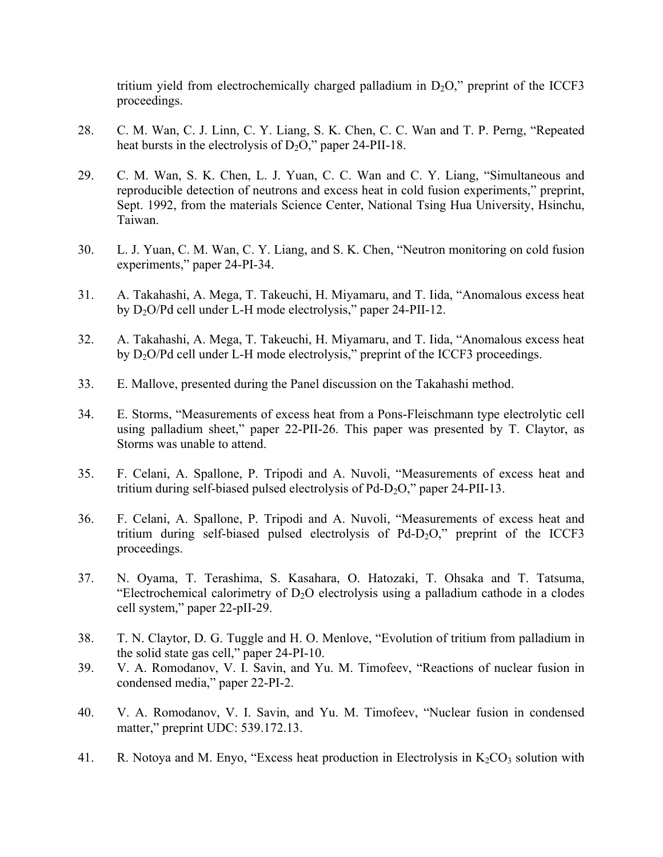tritium yield from electrochemically charged palladium in  $D_2O$ ," preprint of the ICCF3 proceedings.

- 28. C. M. Wan, C. J. Linn, C. Y. Liang, S. K. Chen, C. C. Wan and T. P. Perng, "Repeated heat bursts in the electrolysis of  $D_2O$ ," paper 24-PII-18.
- 29. C. M. Wan, S. K. Chen, L. J. Yuan, C. C. Wan and C. Y. Liang, "Simultaneous and reproducible detection of neutrons and excess heat in cold fusion experiments," preprint, Sept. 1992, from the materials Science Center, National Tsing Hua University, Hsinchu, Taiwan.
- 30. L. J. Yuan, C. M. Wan, C. Y. Liang, and S. K. Chen, "Neutron monitoring on cold fusion experiments," paper 24-PI-34.
- 31. A. Takahashi, A. Mega, T. Takeuchi, H. Miyamaru, and T. Iida, "Anomalous excess heat by D2O/Pd cell under L-H mode electrolysis," paper 24-PII-12.
- 32. A. Takahashi, A. Mega, T. Takeuchi, H. Miyamaru, and T. Iida, "Anomalous excess heat by D2O/Pd cell under L-H mode electrolysis," preprint of the ICCF3 proceedings.
- 33. E. Mallove, presented during the Panel discussion on the Takahashi method.
- 34. E. Storms, "Measurements of excess heat from a Pons-Fleischmann type electrolytic cell using palladium sheet," paper 22-PII-26. This paper was presented by T. Claytor, as Storms was unable to attend.
- 35. F. Celani, A. Spallone, P. Tripodi and A. Nuvoli, "Measurements of excess heat and tritium during self-biased pulsed electrolysis of Pd-D<sub>2</sub>O," paper 24-PII-13.
- 36. F. Celani, A. Spallone, P. Tripodi and A. Nuvoli, "Measurements of excess heat and tritium during self-biased pulsed electrolysis of  $Pd-D<sub>2</sub>O$ ," preprint of the ICCF3 proceedings.
- 37. N. Oyama, T. Terashima, S. Kasahara, O. Hatozaki, T. Ohsaka and T. Tatsuma, "Electrochemical calorimetry of  $D_2O$  electrolysis using a palladium cathode in a clodes cell system," paper 22-pII-29.
- 38. T. N. Claytor, D. G. Tuggle and H. O. Menlove, "Evolution of tritium from palladium in the solid state gas cell," paper 24-PI-10.
- 39. V. A. Romodanov, V. I. Savin, and Yu. M. Timofeev, "Reactions of nuclear fusion in condensed media," paper 22-PI-2.
- 40. V. A. Romodanov, V. I. Savin, and Yu. M. Timofeev, "Nuclear fusion in condensed matter," preprint UDC: 539.172.13.
- 41. R. Notoya and M. Enyo, "Excess heat production in Electrolysis in  $K_2CO_3$  solution with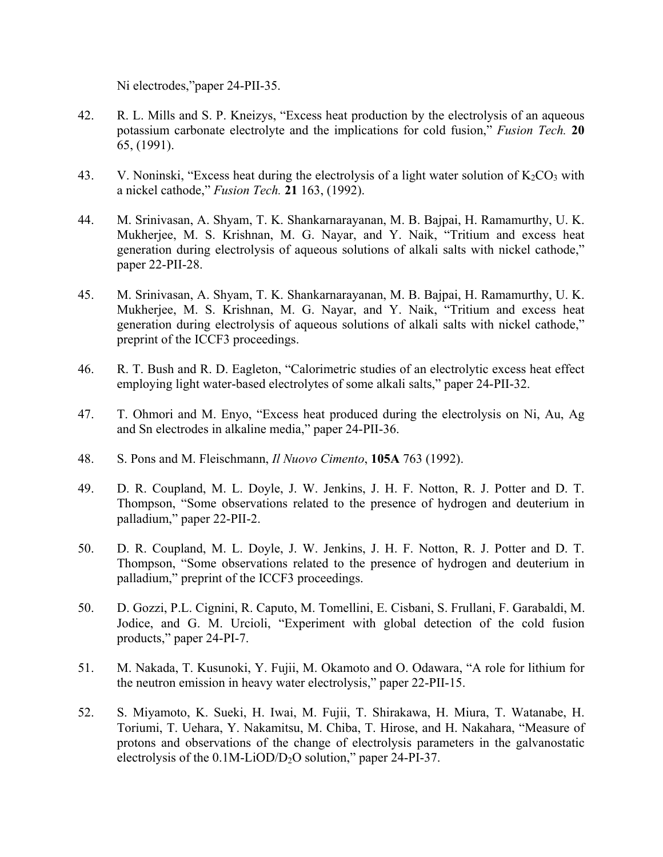Ni electrodes,"paper 24-PII-35.

- 42. R. L. Mills and S. P. Kneizys, "Excess heat production by the electrolysis of an aqueous potassium carbonate electrolyte and the implications for cold fusion," *Fusion Tech.* **20** 65, (1991).
- 43. V. Noninski, "Excess heat during the electrolysis of a light water solution of  $K_2CO_3$  with a nickel cathode," *Fusion Tech.* **21** 163, (1992).
- 44. M. Srinivasan, A. Shyam, T. K. Shankarnarayanan, M. B. Bajpai, H. Ramamurthy, U. K. Mukherjee, M. S. Krishnan, M. G. Nayar, and Y. Naik, "Tritium and excess heat generation during electrolysis of aqueous solutions of alkali salts with nickel cathode," paper 22-PII-28.
- 45. M. Srinivasan, A. Shyam, T. K. Shankarnarayanan, M. B. Bajpai, H. Ramamurthy, U. K. Mukherjee, M. S. Krishnan, M. G. Nayar, and Y. Naik, "Tritium and excess heat generation during electrolysis of aqueous solutions of alkali salts with nickel cathode," preprint of the ICCF3 proceedings.
- 46. R. T. Bush and R. D. Eagleton, "Calorimetric studies of an electrolytic excess heat effect employing light water-based electrolytes of some alkali salts," paper 24-PII-32.
- 47. T. Ohmori and M. Enyo, "Excess heat produced during the electrolysis on Ni, Au, Ag and Sn electrodes in alkaline media," paper 24-PII-36.
- 48. S. Pons and M. Fleischmann, *Il Nuovo Cimento*, **105A** 763 (1992).
- 49. D. R. Coupland, M. L. Doyle, J. W. Jenkins, J. H. F. Notton, R. J. Potter and D. T. Thompson, "Some observations related to the presence of hydrogen and deuterium in palladium," paper 22-PII-2.
- 50. D. R. Coupland, M. L. Doyle, J. W. Jenkins, J. H. F. Notton, R. J. Potter and D. T. Thompson, "Some observations related to the presence of hydrogen and deuterium in palladium," preprint of the ICCF3 proceedings.
- 50. D. Gozzi, P.L. Cignini, R. Caputo, M. Tomellini, E. Cisbani, S. Frullani, F. Garabaldi, M. Jodice, and G. M. Urcioli, "Experiment with global detection of the cold fusion products," paper 24-PI-7.
- 51. M. Nakada, T. Kusunoki, Y. Fujii, M. Okamoto and O. Odawara, "A role for lithium for the neutron emission in heavy water electrolysis," paper 22-PII-15.
- 52. S. Miyamoto, K. Sueki, H. Iwai, M. Fujii, T. Shirakawa, H. Miura, T. Watanabe, H. Toriumi, T. Uehara, Y. Nakamitsu, M. Chiba, T. Hirose, and H. Nakahara, "Measure of protons and observations of the change of electrolysis parameters in the galvanostatic electrolysis of the  $0.1M-LiOD/D<sub>2</sub>O$  solution," paper 24-PI-37.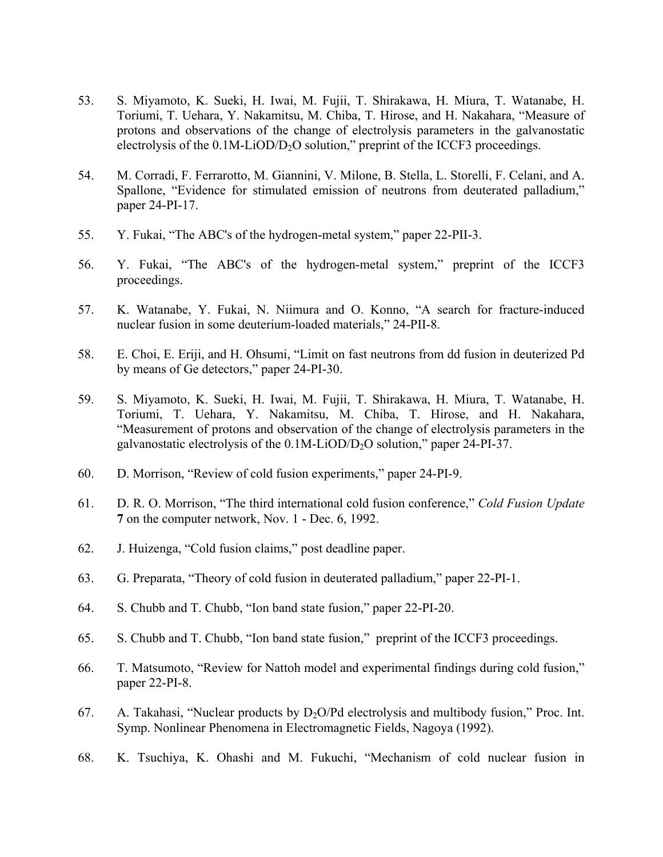- 53. S. Miyamoto, K. Sueki, H. Iwai, M. Fujii, T. Shirakawa, H. Miura, T. Watanabe, H. Toriumi, T. Uehara, Y. Nakamitsu, M. Chiba, T. Hirose, and H. Nakahara, "Measure of protons and observations of the change of electrolysis parameters in the galvanostatic electrolysis of the  $0.1M-LiOD/D<sub>2</sub>O$  solution," preprint of the ICCF3 proceedings.
- 54. M. Corradi, F. Ferrarotto, M. Giannini, V. Milone, B. Stella, L. Storelli, F. Celani, and A. Spallone, "Evidence for stimulated emission of neutrons from deuterated palladium," paper 24-PI-17.
- 55. Y. Fukai, "The ABC's of the hydrogen-metal system," paper 22-PII-3.
- 56. Y. Fukai, "The ABC's of the hydrogen-metal system," preprint of the ICCF3 proceedings.
- 57. K. Watanabe, Y. Fukai, N. Niimura and O. Konno, "A search for fracture-induced nuclear fusion in some deuterium-loaded materials," 24-PII-8.
- 58. E. Choi, E. Eriji, and H. Ohsumi, "Limit on fast neutrons from dd fusion in deuterized Pd by means of Ge detectors," paper 24-PI-30.
- 59. S. Miyamoto, K. Sueki, H. Iwai, M. Fujii, T. Shirakawa, H. Miura, T. Watanabe, H. Toriumi, T. Uehara, Y. Nakamitsu, M. Chiba, T. Hirose, and H. Nakahara, "Measurement of protons and observation of the change of electrolysis parameters in the galvanostatic electrolysis of the 0.1M-LiOD/D2O solution," paper 24-PI-37.
- 60. D. Morrison, "Review of cold fusion experiments," paper 24-PI-9.
- 61. D. R. O. Morrison, "The third international cold fusion conference," *Cold Fusion Update* **7** on the computer network, Nov. 1 - Dec. 6, 1992.
- 62. J. Huizenga, "Cold fusion claims," post deadline paper.
- 63. G. Preparata, "Theory of cold fusion in deuterated palladium," paper 22-PI-1.
- 64. S. Chubb and T. Chubb, "Ion band state fusion," paper 22-PI-20.
- 65. S. Chubb and T. Chubb, "Ion band state fusion," preprint of the ICCF3 proceedings.
- 66. T. Matsumoto, "Review for Nattoh model and experimental findings during cold fusion," paper 22-PI-8.
- 67. A. Takahasi, "Nuclear products by  $D_2O/Pd$  electrolysis and multibody fusion," Proc. Int. Symp. Nonlinear Phenomena in Electromagnetic Fields, Nagoya (1992).
- 68. K. Tsuchiya, K. Ohashi and M. Fukuchi, "Mechanism of cold nuclear fusion in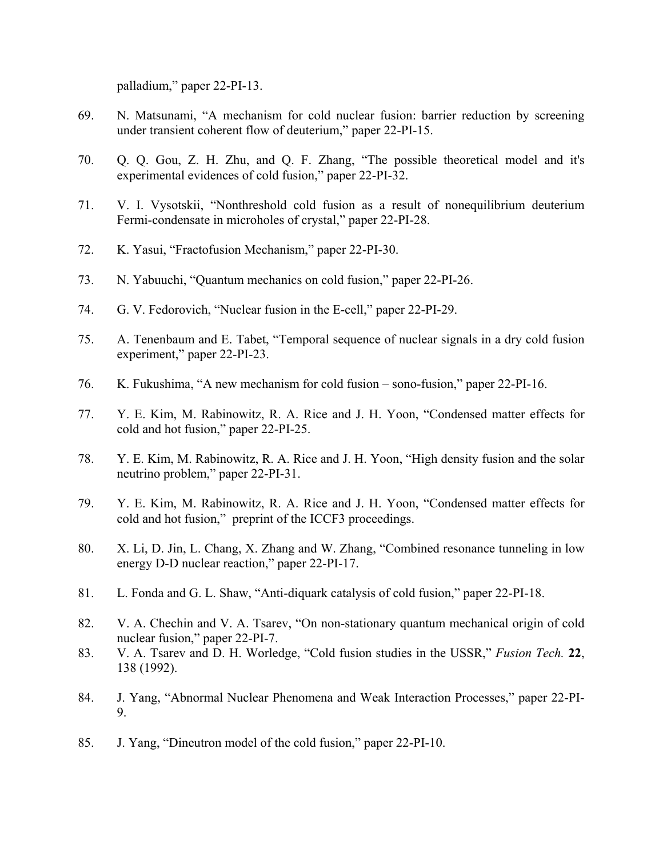palladium," paper 22-PI-13.

- 69. N. Matsunami, "A mechanism for cold nuclear fusion: barrier reduction by screening under transient coherent flow of deuterium," paper 22-PI-15.
- 70. Q. Q. Gou, Z. H. Zhu, and Q. F. Zhang, "The possible theoretical model and it's experimental evidences of cold fusion," paper 22-PI-32.
- 71. V. I. Vysotskii, "Nonthreshold cold fusion as a result of nonequilibrium deuterium Fermi-condensate in microholes of crystal," paper 22-PI-28.
- 72. K. Yasui, "Fractofusion Mechanism," paper 22-PI-30.
- 73. N. Yabuuchi, "Quantum mechanics on cold fusion," paper 22-PI-26.
- 74. G. V. Fedorovich, "Nuclear fusion in the E-cell," paper 22-PI-29.
- 75. A. Tenenbaum and E. Tabet, "Temporal sequence of nuclear signals in a dry cold fusion experiment," paper 22-PI-23.
- 76. K. Fukushima, "A new mechanism for cold fusion sono-fusion," paper 22-PI-16.
- 77. Y. E. Kim, M. Rabinowitz, R. A. Rice and J. H. Yoon, "Condensed matter effects for cold and hot fusion," paper 22-PI-25.
- 78. Y. E. Kim, M. Rabinowitz, R. A. Rice and J. H. Yoon, "High density fusion and the solar neutrino problem," paper 22-PI-31.
- 79. Y. E. Kim, M. Rabinowitz, R. A. Rice and J. H. Yoon, "Condensed matter effects for cold and hot fusion," preprint of the ICCF3 proceedings.
- 80. X. Li, D. Jin, L. Chang, X. Zhang and W. Zhang, "Combined resonance tunneling in low energy D-D nuclear reaction," paper 22-PI-17.
- 81. L. Fonda and G. L. Shaw, "Anti-diquark catalysis of cold fusion," paper 22-PI-18.
- 82. V. A. Chechin and V. A. Tsarev, "On non-stationary quantum mechanical origin of cold nuclear fusion," paper 22-PI-7.
- 83. V. A. Tsarev and D. H. Worledge, "Cold fusion studies in the USSR," *Fusion Tech.* **22**, 138 (1992).
- 84. J. Yang, "Abnormal Nuclear Phenomena and Weak Interaction Processes," paper 22-PI-9.
- 85. J. Yang, "Dineutron model of the cold fusion," paper 22-PI-10.